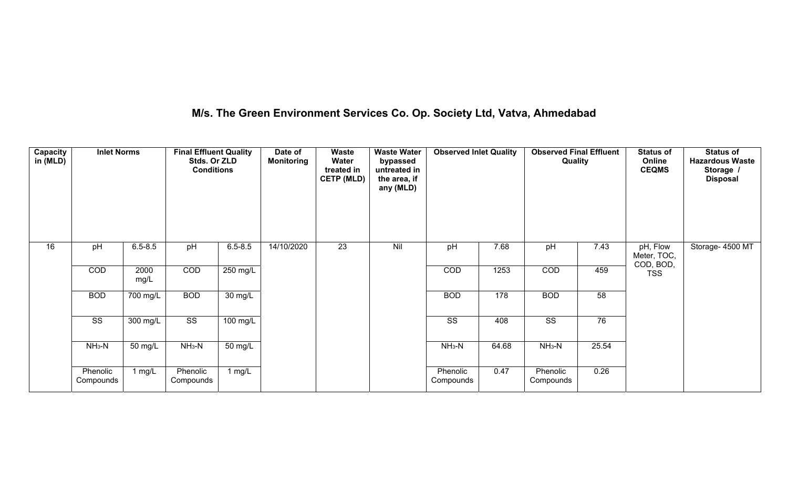## **M/s. The Green Environment Services Co. Op. Society Ltd, Vatva, Ahmedabad**

| <b>Capacity</b><br>in (MLD) | <b>Inlet Norms</b>    |                      | <b>Final Effluent Quality</b><br>Stds. Or ZLD<br><b>Conditions</b> |                      | Date of<br><b>Monitoring</b> | Waste<br>Water<br>treated in<br><b>CETP (MLD)</b> | <b>Waste Water</b><br>bypassed<br>untreated in<br>the area, if<br>any (MLD) | <b>Observed Inlet Quality</b> |       | <b>Observed Final Effluent</b><br>Quality |       | <b>Status of</b><br>Online<br><b>CEQMS</b> | <b>Status of</b><br><b>Hazardous Waste</b><br>Storage /<br><b>Disposal</b> |
|-----------------------------|-----------------------|----------------------|--------------------------------------------------------------------|----------------------|------------------------------|---------------------------------------------------|-----------------------------------------------------------------------------|-------------------------------|-------|-------------------------------------------|-------|--------------------------------------------|----------------------------------------------------------------------------|
| 16                          | pH                    | $6.5 - 8.5$          | pH                                                                 | $6.5 - 8.5$          | 14/10/2020                   | $\overline{23}$                                   | Nil                                                                         | pH                            | 7.68  | pH                                        | 7.43  | pH, Flow<br>Meter, TOC,<br>COD, BOD,       | Storage- 4500 MT                                                           |
|                             | COD                   | 2000<br>mg/L         | COD                                                                | 250 mg/L             |                              |                                                   |                                                                             | COD                           | 1253  | COD                                       | 459   | <b>TSS</b>                                 |                                                                            |
|                             | <b>BOD</b>            | 700 mg/L             | <b>BOD</b>                                                         | 30 mg/L              |                              |                                                   |                                                                             | <b>BOD</b>                    | 178   | <b>BOD</b>                                | 58    |                                            |                                                                            |
|                             | SS                    | 300 mg/L             | SS                                                                 | 100 mg/L             |                              |                                                   |                                                                             | SS                            | 408   | SS                                        | 76    |                                            |                                                                            |
|                             | $NH3-N$               | $\overline{50}$ mg/L | $NH3-N$                                                            | $\overline{50}$ mg/L |                              |                                                   |                                                                             | $NH3-N$                       | 64.68 | $NH3-N$                                   | 25.54 |                                            |                                                                            |
|                             | Phenolic<br>Compounds | $1$ mg/L             | Phenolic<br>Compounds                                              | 1 mg/ $\overline{L}$ |                              |                                                   |                                                                             | Phenolic<br>Compounds         | 0.47  | Phenolic<br>Compounds                     | 0.26  |                                            |                                                                            |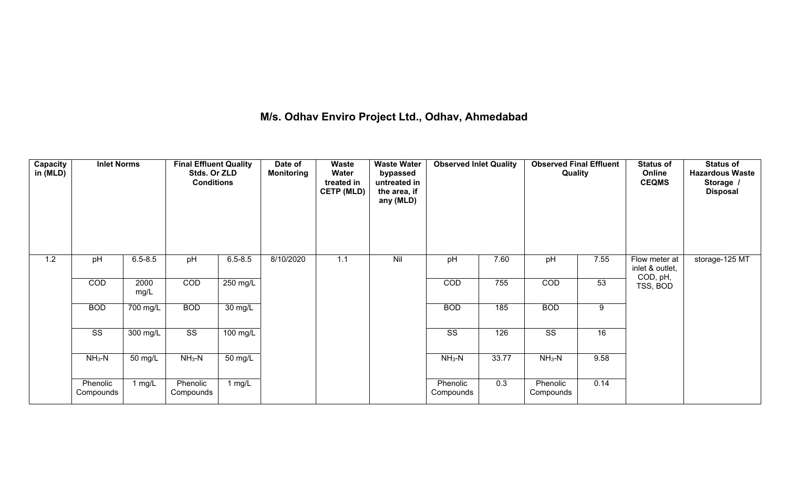## **M/s. Odhav Enviro Project Ltd., Odhav, Ahmedabad**

| Capacity<br>in (MLD) | <b>Inlet Norms</b>     |              | <b>Final Effluent Quality</b><br>Stds. Or ZLD<br><b>Conditions</b> |                    | Date of<br><b>Monitoring</b> | Waste<br>Water<br>treated in<br><b>CETP (MLD)</b> | <b>Waste Water</b><br>bypassed<br>untreated in<br>the area, if<br>any (MLD) | <b>Observed Inlet Quality</b> |       | <b>Observed Final Effluent</b><br>Quality |      | <b>Status of</b><br>Online<br><b>CEQMS</b>   | <b>Status of</b><br><b>Hazardous Waste</b><br>Storage /<br><b>Disposal</b> |
|----------------------|------------------------|--------------|--------------------------------------------------------------------|--------------------|------------------------------|---------------------------------------------------|-----------------------------------------------------------------------------|-------------------------------|-------|-------------------------------------------|------|----------------------------------------------|----------------------------------------------------------------------------|
| 1.2                  | pH                     | $6.5 - 8.5$  | pH                                                                 | $6.5 - 8.5$        | 8/10/2020                    | 1.1                                               | Nil                                                                         | pH                            | 7.60  | pH                                        | 7.55 | Flow meter at<br>inlet & outlet,<br>COD, pH, | storage-125 MT                                                             |
|                      | <b>COD</b>             | 2000<br>mg/L | COD                                                                | $250 \text{ mg/L}$ |                              |                                                   |                                                                             | COD                           | 755   | COD                                       | 53   | TSS, BOD                                     |                                                                            |
|                      | <b>BOD</b>             | 700 mg/L     | <b>BOD</b>                                                         | $30 \text{ mg/L}$  |                              |                                                   |                                                                             | <b>BOD</b>                    | 185   | <b>BOD</b>                                | 9    |                                              |                                                                            |
|                      | $\overline{\text{ss}}$ | $300$ mg/L   | $\overline{\text{SS}}$                                             | $100 \text{ mg/L}$ |                              |                                                   |                                                                             | $\overline{\text{ss}}$        | 126   | $\overline{\text{ss}}$                    | 16   |                                              |                                                                            |
|                      | $NH3-N$                | 50 mg/L      | $NH3-N$                                                            | 50 mg/L            |                              |                                                   |                                                                             | $NH3-N$                       | 33.77 | $NH3-N$                                   | 9.58 |                                              |                                                                            |
|                      | Phenolic<br>Compounds  | 1 mg/L       | Phenolic<br>Compounds                                              | 1 mg/L             |                              |                                                   |                                                                             | Phenolic<br>Compounds         | 0.3   | Phenolic<br>Compounds                     | 0.14 |                                              |                                                                            |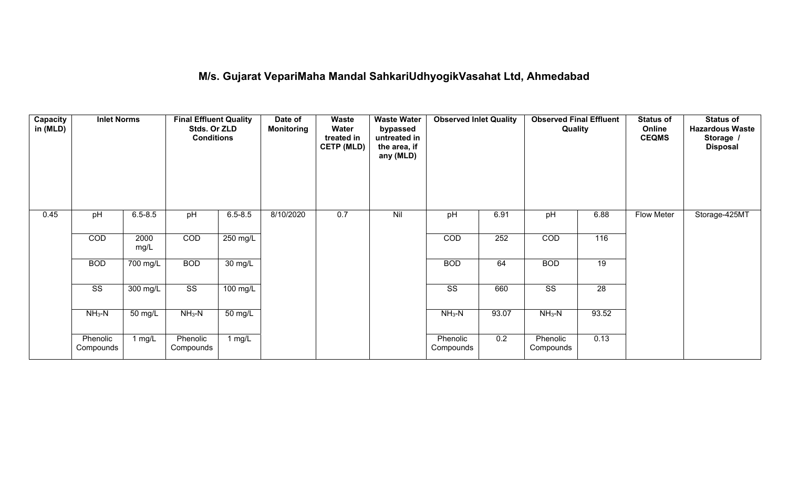## **M/s. Gujarat VepariMaha Mandal SahkariUdhyogikVasahat Ltd, Ahmedabad**

| Capacity<br>in (MLD) | <b>Inlet Norms</b>     |                    | <b>Final Effluent Quality</b><br>Stds. Or ZLD<br><b>Conditions</b> |                      | Date of<br><b>Monitoring</b> | Waste<br>Water<br>treated in<br><b>CETP (MLD)</b> | <b>Waste Water</b><br>bypassed<br>untreated in<br>the area, if<br>any (MLD) | <b>Observed Inlet Quality</b> |       | <b>Observed Final Effluent</b><br>Quality |                 | <b>Status of</b><br>Online<br><b>CEQMS</b> | <b>Status of</b><br><b>Hazardous Waste</b><br>Storage /<br><b>Disposal</b> |
|----------------------|------------------------|--------------------|--------------------------------------------------------------------|----------------------|------------------------------|---------------------------------------------------|-----------------------------------------------------------------------------|-------------------------------|-------|-------------------------------------------|-----------------|--------------------------------------------|----------------------------------------------------------------------------|
| 0.45                 | pH                     | $6.5 - 8.5$        | pH                                                                 | $6.5 - 8.5$          | 8/10/2020                    | 0.7                                               | Nil                                                                         | pH                            | 6.91  | pH                                        | 6.88            | Flow Meter                                 | Storage-425MT                                                              |
|                      | COD                    | 2000<br>mg/L       | COD                                                                | 250 mg/L             |                              |                                                   |                                                                             | COD                           | 252   | COD                                       | 116             |                                            |                                                                            |
|                      | <b>BOD</b>             | 700 mg/L           | <b>BOD</b>                                                         | 30 mg/L              |                              |                                                   |                                                                             | <b>BOD</b>                    | 64    | <b>BOD</b>                                | 19              |                                            |                                                                            |
|                      | $\overline{\text{ss}}$ | $300 \text{ mg/L}$ | $\overline{\text{ss}}$                                             | 100 mg/L             |                              |                                                   |                                                                             | $\overline{\text{ss}}$        | 660   | $\overline{\text{ss}}$                    | $\overline{28}$ |                                            |                                                                            |
|                      | $NH_3-N$               | 50 mg/L            | $NH3-N$                                                            | $\overline{50}$ mg/L |                              |                                                   |                                                                             | $NH_3-N$                      | 93.07 | $NH3-N$                                   | 93.52           |                                            |                                                                            |
|                      | Phenolic<br>Compounds  | 1 $mg/L$           | Phenolic<br>Compounds                                              | 1 $mg/L$             |                              |                                                   |                                                                             | Phenolic<br>Compounds         | 0.2   | Phenolic<br>Compounds                     | 0.13            |                                            |                                                                            |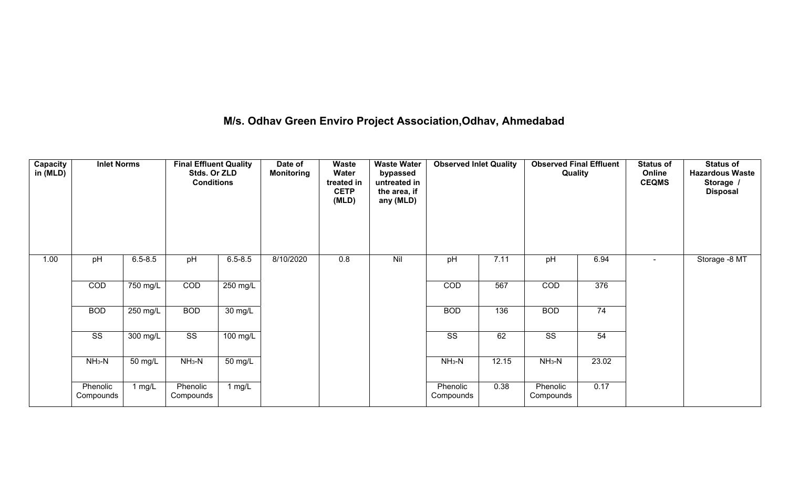# **M/s. Odhav Green Enviro Project Association,Odhav, Ahmedabad**

| <b>Capacity</b><br>in (MLD) | <b>Inlet Norms</b>     |             | <b>Final Effluent Quality</b><br>Stds. Or ZLD<br><b>Conditions</b> |                      | Date of<br><b>Monitoring</b> | Waste<br>Water<br>treated in<br><b>CETP</b><br>(MLD) | <b>Waste Water</b><br>bypassed<br>untreated in<br>the area, if<br>any (MLD) | <b>Observed Inlet Quality</b> |       | <b>Observed Final Effluent</b><br>Quality |                 | <b>Status of</b><br>Online<br><b>CEQMS</b> | <b>Status of</b><br><b>Hazardous Waste</b><br>Storage /<br><b>Disposal</b> |
|-----------------------------|------------------------|-------------|--------------------------------------------------------------------|----------------------|------------------------------|------------------------------------------------------|-----------------------------------------------------------------------------|-------------------------------|-------|-------------------------------------------|-----------------|--------------------------------------------|----------------------------------------------------------------------------|
| 1.00                        | pH                     | $6.5 - 8.5$ | pH                                                                 | $6.5 - 8.5$          | 8/10/2020                    | 0.8                                                  | Nil                                                                         | pH                            | 7.11  | pH                                        | 6.94            | $\sim$                                     | Storage -8 MT                                                              |
|                             | COD                    | 750 mg/L    | COD                                                                | $250$ mg/L           |                              |                                                      |                                                                             | COD                           | 567   | COD                                       | 376             |                                            |                                                                            |
|                             | <b>BOD</b>             | $250$ mg/L  | <b>BOD</b>                                                         | $30 \text{ mg/L}$    |                              |                                                      |                                                                             | <b>BOD</b>                    | 136   | <b>BOD</b>                                | $\overline{74}$ |                                            |                                                                            |
|                             | $\overline{\text{SS}}$ | 300 mg/L    | $\overline{\text{ss}}$                                             | $100$ mg/L           |                              |                                                      |                                                                             | $\overline{\text{SS}}$        | 62    | $\overline{\text{SS}}$                    | 54              |                                            |                                                                            |
|                             | $NH3-N$                | 50 mg/L     | $NH3-N$                                                            | $\overline{50}$ mg/L |                              |                                                      |                                                                             | $NH3-N$                       | 12.15 | $NH3-N$                                   | 23.02           |                                            |                                                                            |
|                             | Phenolic<br>Compounds  | 1 $mg/L$    | Phenolic<br>Compounds                                              | 1 mg/L               |                              |                                                      |                                                                             | Phenolic<br>Compounds         | 0.38  | Phenolic<br>Compounds                     | 0.17            |                                            |                                                                            |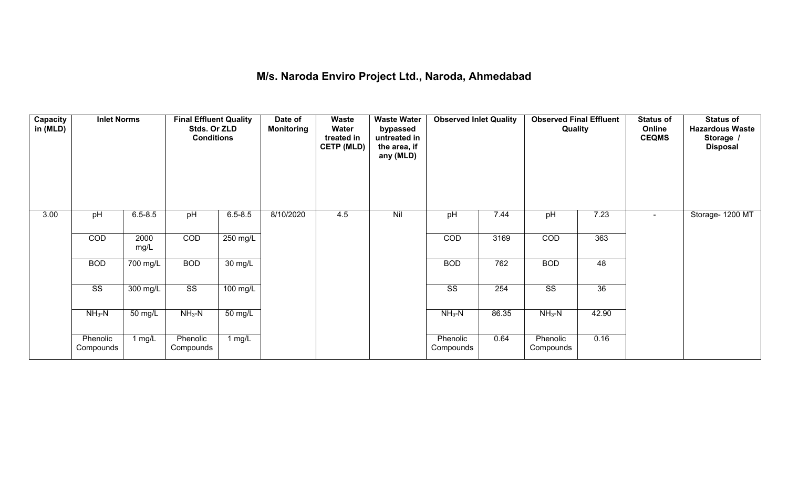## **M/s. Naroda Enviro Project Ltd., Naroda, Ahmedabad**

| Capacity<br>in (MLD) | <b>Inlet Norms</b>     |                    | <b>Final Effluent Quality</b><br>Stds. Or ZLD<br><b>Conditions</b> |                      | Date of<br><b>Monitoring</b> | <b>Waste</b><br>Water<br>treated in<br><b>CETP (MLD)</b> | <b>Waste Water</b><br>bypassed<br>untreated in<br>the area, if<br>any (MLD) | <b>Observed Inlet Quality</b> |       | <b>Observed Final Effluent</b><br>Quality |                 | <b>Status of</b><br>Online<br><b>CEQMS</b> | <b>Status of</b><br><b>Hazardous Waste</b><br>Storage /<br><b>Disposal</b> |
|----------------------|------------------------|--------------------|--------------------------------------------------------------------|----------------------|------------------------------|----------------------------------------------------------|-----------------------------------------------------------------------------|-------------------------------|-------|-------------------------------------------|-----------------|--------------------------------------------|----------------------------------------------------------------------------|
| 3.00                 | pH                     | $6.5 - 8.5$        | pH                                                                 | $6.5 - 8.5$          | 8/10/2020                    | 4.5                                                      | Nil                                                                         | pH                            | 7.44  | pH                                        | 7.23            | $\blacksquare$                             | Storage- 1200 MT                                                           |
|                      | COD                    | 2000<br>mg/L       | COD                                                                | 250 mg/L             |                              |                                                          |                                                                             | COD                           | 3169  | COD                                       | 363             |                                            |                                                                            |
|                      | <b>BOD</b>             | 700 mg/L           | <b>BOD</b>                                                         | $\overline{30}$ mg/L |                              |                                                          |                                                                             | <b>BOD</b>                    | 762   | <b>BOD</b>                                | $\overline{48}$ |                                            |                                                                            |
|                      | $\overline{\text{ss}}$ | $300 \text{ mg/L}$ | $\overline{\text{ss}}$                                             | 100 mg/L             |                              |                                                          |                                                                             | $\overline{\text{ss}}$        | 254   | $\overline{\text{SS}}$                    | $\overline{36}$ |                                            |                                                                            |
|                      | $NH3-N$                | 50 mg/L            | $NH3-N$                                                            | 50 mg/L              |                              |                                                          |                                                                             | $NH3-N$                       | 86.35 | $NH3-N$                                   | 42.90           |                                            |                                                                            |
|                      | Phenolic<br>Compounds  | 1 mg/ $L$          | Phenolic<br>Compounds                                              | 1 $mg/L$             |                              |                                                          |                                                                             | Phenolic<br>Compounds         | 0.64  | Phenolic<br>Compounds                     | 0.16            |                                            |                                                                            |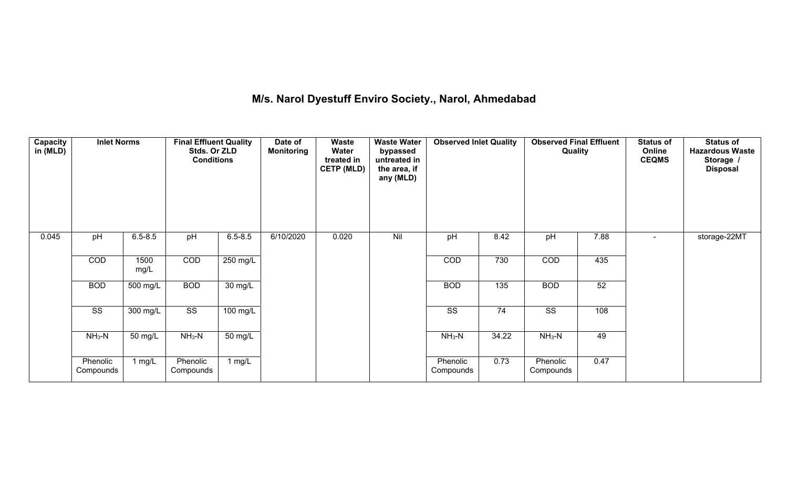## **M/s. Narol Dyestuff Enviro Society., Narol, Ahmedabad**

| Capacity<br>in (MLD) | <b>Inlet Norms</b>     |              | <b>Final Effluent Quality</b><br>Stds. Or ZLD<br><b>Conditions</b> |                   | Date of<br><b>Monitoring</b> | Waste<br>Water<br>treated in<br><b>CETP (MLD)</b> | <b>Waste Water</b><br>bypassed<br>untreated in<br>the area, if<br>any (MLD) | <b>Observed Inlet Quality</b> |       | <b>Observed Final Effluent</b><br>Quality |      | <b>Status of</b><br>Online<br><b>CEQMS</b> | <b>Status of</b><br><b>Hazardous Waste</b><br>Storage /<br><b>Disposal</b> |
|----------------------|------------------------|--------------|--------------------------------------------------------------------|-------------------|------------------------------|---------------------------------------------------|-----------------------------------------------------------------------------|-------------------------------|-------|-------------------------------------------|------|--------------------------------------------|----------------------------------------------------------------------------|
| 0.045                | pH                     | $6.5 - 8.5$  | pH                                                                 | $6.5 - 8.5$       | 6/10/2020                    | 0.020                                             | Nil                                                                         | pH                            | 8.42  | pH                                        | 7.88 |                                            | storage-22MT                                                               |
|                      | COD                    | 1500<br>mg/L | COD                                                                | 250 mg/L          |                              |                                                   |                                                                             | COD                           | 730   | COD                                       | 435  |                                            |                                                                            |
|                      | <b>BOD</b>             | 500 mg/L     | <b>BOD</b>                                                         | $30 \text{ mg/L}$ |                              |                                                   |                                                                             | <b>BOD</b>                    | 135   | <b>BOD</b>                                | 52   |                                            |                                                                            |
|                      | $\overline{\text{ss}}$ | $300$ mg/L   | $\overline{\text{SS}}$                                             | $100$ mg/L        |                              |                                                   |                                                                             | $\overline{\text{SS}}$        | 74    | $\overline{\text{ss}}$                    | 108  |                                            |                                                                            |
|                      | $NH3-N$                | 50 mg/L      | $NH3-N$                                                            | 50 mg/L           |                              |                                                   |                                                                             | $NH3-N$                       | 34.22 | $NH_3-N$                                  | 49   |                                            |                                                                            |
|                      | Phenolic<br>Compounds  | 1 $mg/L$     | Phenolic<br>Compounds                                              | 1 $mg/L$          |                              |                                                   |                                                                             | Phenolic<br>Compounds         | 0.73  | Phenolic<br>Compounds                     | 0.47 |                                            |                                                                            |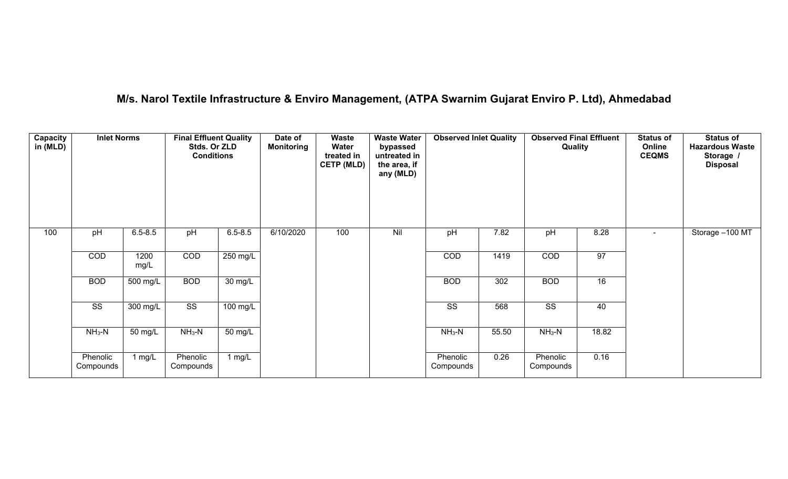## **M/s. Narol Textile Infrastructure & Enviro Management, (ATPA Swarnim Gujarat Enviro P. Ltd), Ahmedabad**

| Capacity<br>in (MLD) | <b>Inlet Norms</b>     |              | <b>Final Effluent Quality</b><br>Stds. Or ZLD<br><b>Conditions</b> |                       | Date of<br><b>Monitoring</b> | Waste<br>Water<br>treated in<br><b>CETP (MLD)</b> | <b>Waste Water</b><br>bypassed<br>untreated in<br>the area, if<br>any (MLD) | <b>Observed Inlet Quality</b> |       | <b>Observed Final Effluent</b><br>Quality |       | <b>Status of</b><br>Online<br><b>CEQMS</b> | <b>Status of</b><br><b>Hazardous Waste</b><br>Storage /<br><b>Disposal</b> |
|----------------------|------------------------|--------------|--------------------------------------------------------------------|-----------------------|------------------------------|---------------------------------------------------|-----------------------------------------------------------------------------|-------------------------------|-------|-------------------------------------------|-------|--------------------------------------------|----------------------------------------------------------------------------|
| 100                  | pH                     | $6.5 - 8.5$  | pH                                                                 | $6.5 - 8.5$           | 6/10/2020                    | 100                                               | Nil                                                                         | pH                            | 7.82  | pH                                        | 8.28  | $\blacksquare$                             | Storage -100 MT                                                            |
|                      | COD                    | 1200<br>mg/L | COD                                                                | 250 mg/L              |                              |                                                   |                                                                             | COD                           | 1419  | COD                                       | 97    |                                            |                                                                            |
|                      | <b>BOD</b>             | 500 mg/L     | <b>BOD</b>                                                         | $\overline{30}$ mg/L  |                              |                                                   |                                                                             | <b>BOD</b>                    | 302   | <b>BOD</b>                                | 16    |                                            |                                                                            |
|                      | $\overline{\text{SS}}$ | 300 mg/L     | $\overline{\text{ss}}$                                             | $\overline{100}$ mg/L |                              |                                                   |                                                                             | $\overline{\text{SS}}$        | 568   | $\overline{\text{SS}}$                    | 40    |                                            |                                                                            |
|                      | $NH3-N$                | 50 mg/L      | $NH3-N$                                                            | $\overline{50}$ mg/L  |                              |                                                   |                                                                             | $NH3-N$                       | 55.50 | $NH3-N$                                   | 18.82 |                                            |                                                                            |
|                      | Phenolic<br>Compounds  | $1$ mg/L     | Phenolic<br>Compounds                                              | 1 mg/L                |                              |                                                   |                                                                             | Phenolic<br>Compounds         | 0.26  | Phenolic<br>Compounds                     | 0.16  |                                            |                                                                            |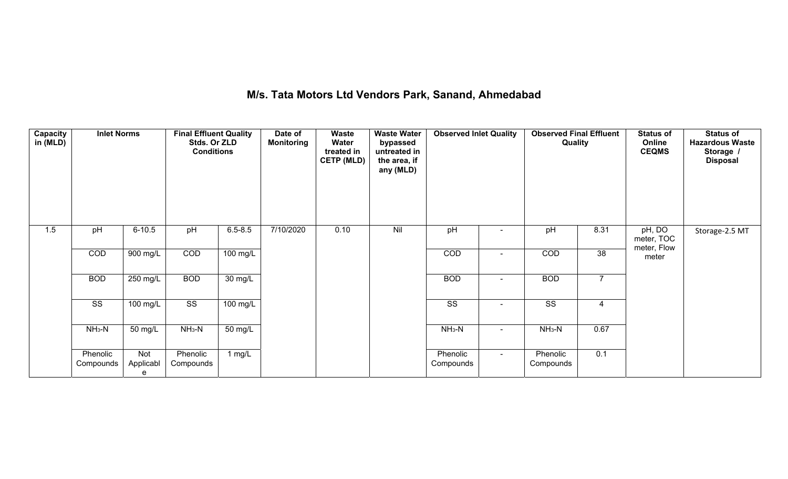# **M/s. Tata Motors Ltd Vendors Park, Sanand, Ahmedabad**

| Capacity<br>in (MLD) | <b>Inlet Norms</b>     |                       | <b>Final Effluent Quality</b><br>Stds. Or ZLD<br><b>Conditions</b> |                      | Date of<br><b>Monitoring</b> | <b>Waste</b><br>Water<br>treated in<br><b>CETP (MLD)</b> | <b>Waste Water</b><br>bypassed<br>untreated in<br>the area, if<br>any (MLD) | <b>Observed Inlet Quality</b> |                | <b>Observed Final Effluent</b><br>Quality |                 | <b>Status of</b><br>Online<br><b>CEQMS</b> | Status of<br><b>Hazardous Waste</b><br>Storage /<br><b>Disposal</b> |
|----------------------|------------------------|-----------------------|--------------------------------------------------------------------|----------------------|------------------------------|----------------------------------------------------------|-----------------------------------------------------------------------------|-------------------------------|----------------|-------------------------------------------|-----------------|--------------------------------------------|---------------------------------------------------------------------|
| 1.5                  | pH                     | $6 - 10.5$            | pH                                                                 | $6.5 - 8.5$          | 7/10/2020                    | 0.10                                                     | Nil                                                                         | pH                            |                | pH                                        | 8.31            | pH, DO<br>meter, TOC<br>meter, Flow        | Storage-2.5 MT                                                      |
|                      | COD                    | 900 mg/L              | COD                                                                | 100 mg/L             |                              |                                                          |                                                                             | COD                           | $\blacksquare$ | COD                                       | $\overline{38}$ | meter                                      |                                                                     |
|                      | <b>BOD</b>             | $250$ mg/L            | <b>BOD</b>                                                         | $\overline{30}$ mg/L |                              |                                                          |                                                                             | <b>BOD</b>                    | $\blacksquare$ | <b>BOD</b>                                | $\overline{7}$  |                                            |                                                                     |
|                      | $\overline{\text{ss}}$ | 100 mg/L              | $\overline{\text{ss}}$                                             | 100 mg/L             |                              |                                                          |                                                                             | $\overline{\text{ss}}$        |                | $\overline{\text{ss}}$                    | $\overline{4}$  |                                            |                                                                     |
|                      | $NH3-N$                | 50 mg/L               | $NH3-N$                                                            | 50 mg/L              |                              |                                                          |                                                                             | $NH3-N$                       | $\sim$         | $NH3-N$                                   | 0.67            |                                            |                                                                     |
|                      | Phenolic<br>Compounds  | Not<br>Applicabl<br>e | Phenolic<br>Compounds                                              | 1 $mg/L$             |                              |                                                          |                                                                             | Phenolic<br>Compounds         | $\sim$         | Phenolic<br>Compounds                     | 0.1             |                                            |                                                                     |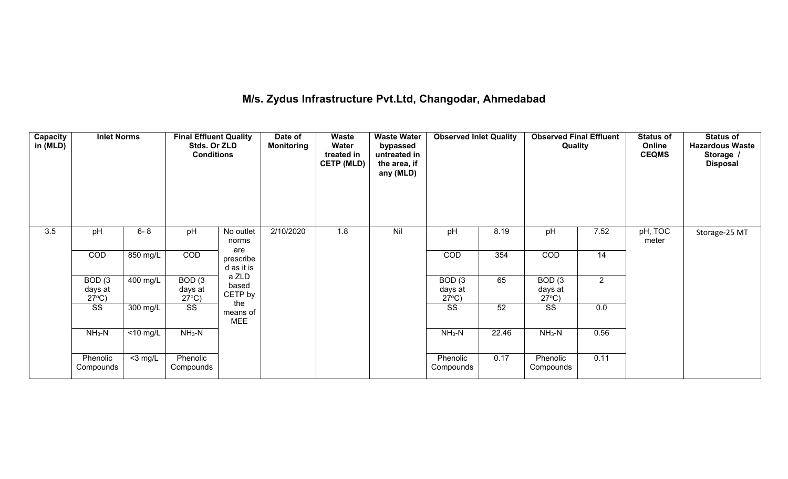## **M/s. Zydus Infrastructure Pvt.Ltd, Changodar, Ahmedabad**

| Capacity<br>in (MLD) | <b>Inlet Norms</b>                   |                      | <b>Final Effluent Quality</b><br>Stds. Or ZLD<br><b>Conditions</b> |                                | Date of<br><b>Monitoring</b> | Waste<br>Water<br>treated in<br><b>CETP (MLD)</b> | <b>Waste Water</b><br>bypassed<br>untreated in<br>the area, if<br>any (MLD) | <b>Observed Inlet Quality</b>        |       | <b>Observed Final Effluent</b><br>Quality |                | <b>Status of</b><br>Online<br><b>CEQMS</b> | <b>Status of</b><br><b>Hazardous Waste</b><br>Storage /<br><b>Disposal</b> |
|----------------------|--------------------------------------|----------------------|--------------------------------------------------------------------|--------------------------------|------------------------------|---------------------------------------------------|-----------------------------------------------------------------------------|--------------------------------------|-------|-------------------------------------------|----------------|--------------------------------------------|----------------------------------------------------------------------------|
| 3.5                  | pH                                   | $6 - 8$              | pH                                                                 | No outlet<br>norms             | 2/10/2020                    | 1.8                                               | Nil                                                                         | pH                                   | 8.19  | pH                                        | 7.52           | pH, TOC<br>meter                           | Storage-25 MT                                                              |
|                      | COD                                  | 850 mg/L             | COD                                                                | are<br>prescribe<br>d as it is |                              |                                                   |                                                                             | COD                                  | 354   | COD                                       | 14             |                                            |                                                                            |
|                      | BOD(3)<br>days at<br>$27^{\circ}$ C) | 400 mg/L             | BOD(3)<br>days at<br>$27^{\circ}$ C)                               | a ZLD<br>based<br>CETP by      |                              |                                                   |                                                                             | BOD(3)<br>days at<br>$27^{\circ}$ C) | 65    | BOD(3)<br>days at<br>$27^{\circ}C$ )      | $\overline{2}$ |                                            |                                                                            |
|                      | SS                                   | 300 mg/L             | SS                                                                 | the<br>means of<br><b>MEE</b>  |                              |                                                   |                                                                             | SS                                   | 52    | SS                                        | 0.0            |                                            |                                                                            |
|                      | $NH3-N$                              | $\overline{10}$ mg/L | $NH3-N$                                                            |                                |                              |                                                   |                                                                             | $NH3-N$                              | 22.46 | $NH3-N$                                   | 0.56           |                                            |                                                                            |
|                      | Phenolic<br>Compounds                | $<$ 3 mg/L           | Phenolic<br>Compounds                                              |                                |                              |                                                   |                                                                             | Phenolic<br>Compounds                | 0.17  | Phenolic<br>Compounds                     | 0.11           |                                            |                                                                            |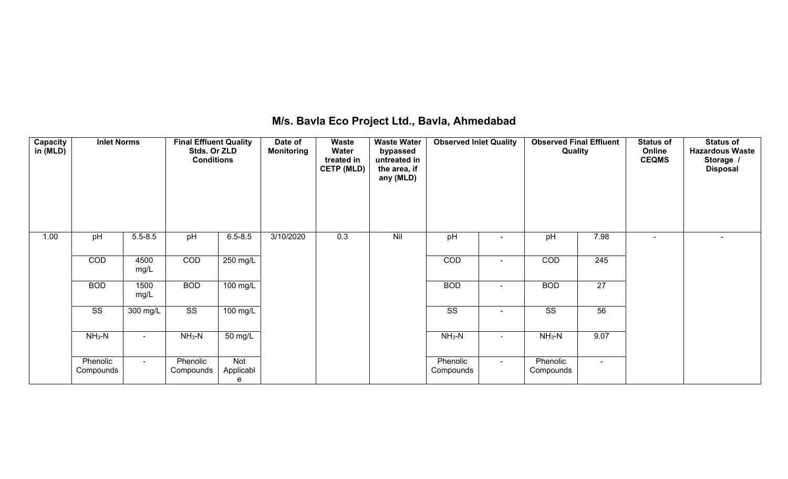## **M/s. Bavla Eco Project Ltd., Bavla, Ahmedabad**

| Capacity<br>in (MLD) | <b>Inlet Norms</b>     |                | <b>Final Effluent Quality</b><br>Stds. Or ZLD<br><b>Conditions</b> |                       | Date of<br><b>Monitoring</b> | <b>Waste</b><br>Water<br>treated in<br><b>CETP (MLD)</b> | <b>Waste Water</b><br>bypassed<br>untreated in<br>the area, if<br>any (MLD) | <b>Observed Inlet Quality</b> |        | <b>Observed Final Effluent</b><br>Quality |                  | <b>Status of</b><br>Online<br><b>CEQMS</b> | <b>Status of</b><br><b>Hazardous Waste</b><br>Storage /<br><b>Disposal</b> |
|----------------------|------------------------|----------------|--------------------------------------------------------------------|-----------------------|------------------------------|----------------------------------------------------------|-----------------------------------------------------------------------------|-------------------------------|--------|-------------------------------------------|------------------|--------------------------------------------|----------------------------------------------------------------------------|
| 1.00                 | pH                     | $5.5 - 8.5$    | pH                                                                 | $6.5 - 8.5$           | 3/10/2020                    | 0.3                                                      | Nil                                                                         | pH                            |        | pH                                        | 7.98             | $\overline{\phantom{a}}$                   | $\blacksquare$                                                             |
|                      | COD                    | 4500<br>mg/L   | COD                                                                | 250 mg/L              |                              |                                                          |                                                                             | COD                           | $\sim$ | COD                                       | $\overline{245}$ |                                            |                                                                            |
|                      | <b>BOD</b>             | 1500<br>mg/L   | <b>BOD</b>                                                         | $100 \text{ mg/L}$    |                              |                                                          |                                                                             | <b>BOD</b>                    | $\sim$ | <b>BOD</b>                                | 27               |                                            |                                                                            |
|                      | $\overline{\text{ss}}$ | $300$ mg/L     | $\overline{\text{ss}}$                                             | $\overline{100}$ mg/L |                              |                                                          |                                                                             | $\overline{\text{SS}}$        |        | $\overline{\text{SS}}$                    | 56               |                                            |                                                                            |
|                      | $NH_3-N$               | $\blacksquare$ | $NH_3-N$                                                           | 50 mg/L               |                              |                                                          |                                                                             | $NH_3-N$                      | $\sim$ | $NH_3-N$                                  | 9.07             |                                            |                                                                            |
|                      | Phenolic<br>Compounds  | $\sim$         | Phenolic<br>Compounds                                              | Not<br>Applicabl<br>e |                              |                                                          |                                                                             | Phenolic<br>Compounds         | $\sim$ | Phenolic<br>Compounds                     | $\sim$           |                                            |                                                                            |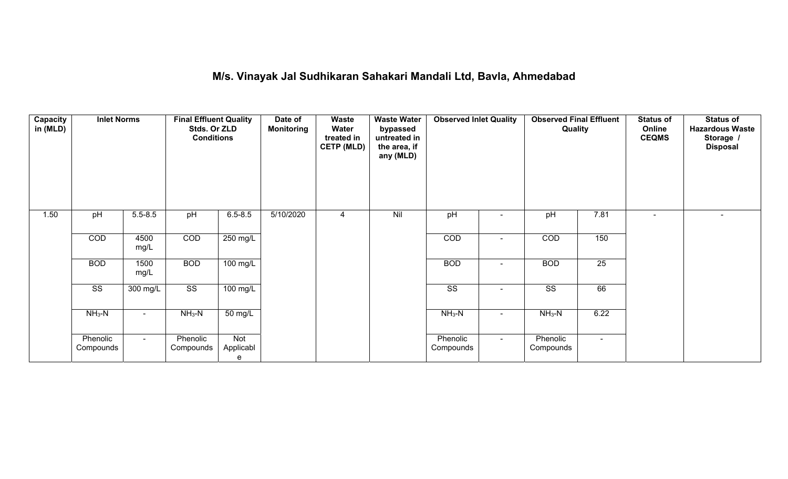## **M/s. Vinayak Jal Sudhikaran Sahakari Mandali Ltd, Bavla, Ahmedabad**

| Capacity<br>in (MLD) | <b>Inlet Norms</b>     |                    | <b>Final Effluent Quality</b><br>Stds. Or ZLD<br><b>Conditions</b> |                       | Date of<br><b>Monitoring</b> | Waste<br>Water<br>treated in<br><b>CETP (MLD)</b> | <b>Waste Water</b><br>bypassed<br>untreated in<br>the area, if<br>any (MLD) | <b>Observed Inlet Quality</b> |                          | <b>Observed Final Effluent</b><br>Quality |                 | <b>Status of</b><br>Online<br><b>CEQMS</b> | <b>Status of</b><br><b>Hazardous Waste</b><br>Storage /<br><b>Disposal</b> |
|----------------------|------------------------|--------------------|--------------------------------------------------------------------|-----------------------|------------------------------|---------------------------------------------------|-----------------------------------------------------------------------------|-------------------------------|--------------------------|-------------------------------------------|-----------------|--------------------------------------------|----------------------------------------------------------------------------|
| 1.50                 | pH                     | $5.5 - 8.5$        | pH                                                                 | $6.5 - 8.5$           | 5/10/2020                    | 4                                                 | Nil                                                                         | pH                            | $\blacksquare$           | pH                                        | 7.81            | $\sim$                                     | $\blacksquare$                                                             |
|                      | COD                    | 4500<br>mg/L       | COD                                                                | 250 mg/L              |                              |                                                   |                                                                             | COD                           | $\blacksquare$           | COD                                       | 150             |                                            |                                                                            |
|                      | <b>BOD</b>             | 1500<br>mg/L       | <b>BOD</b>                                                         | $100 \text{ mg/L}$    |                              |                                                   |                                                                             | <b>BOD</b>                    | $\overline{\phantom{a}}$ | <b>BOD</b>                                | $\overline{25}$ |                                            |                                                                            |
|                      | $\overline{\text{SS}}$ | $300 \text{ mg/L}$ | $\overline{\text{SS}}$                                             | 100 mg/L              |                              |                                                   |                                                                             | $\overline{\text{SS}}$        | $\blacksquare$           | $\overline{\text{ss}}$                    | 66              |                                            |                                                                            |
|                      | $NH3-N$                | $\sim$             | $NH3-N$                                                            | 50 mg/L               |                              |                                                   |                                                                             | $NH3-N$                       | $\blacksquare$           | $NH_3-N$                                  | 6.22            |                                            |                                                                            |
|                      | Phenolic<br>Compounds  | $\sim$             | Phenolic<br>Compounds                                              | Not<br>Applicabl<br>e |                              |                                                   |                                                                             | Phenolic<br>Compounds         | $\sim$                   | Phenolic<br>Compounds                     | $\sim$          |                                            |                                                                            |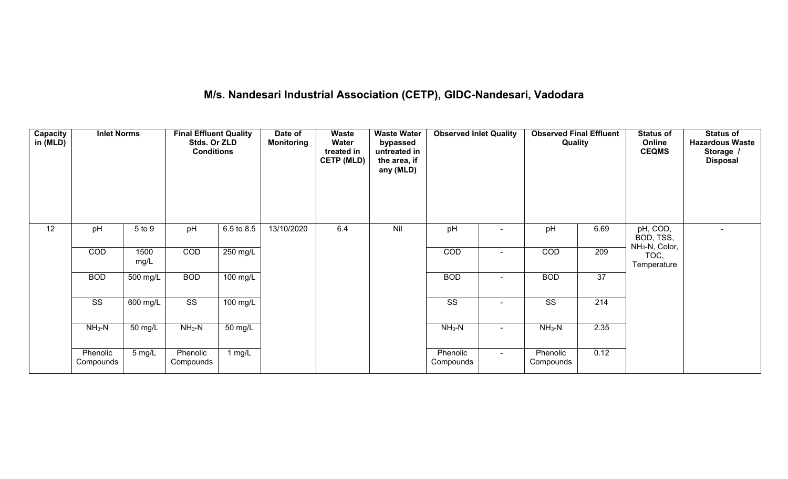# **M/s. Nandesari Industrial Association (CETP), GIDC-Nandesari, Vadodara**

| Capacity<br>in (MLD) | <b>Inlet Norms</b>     |              | <b>Final Effluent Quality</b><br>Stds. Or ZLD<br><b>Conditions</b> |            | Date of<br><b>Monitoring</b> | Waste<br>Water<br>treated in<br><b>CETP (MLD)</b> | <b>Waste Water</b><br>bypassed<br>untreated in<br>the area, if<br>any (MLD) | <b>Observed Inlet Quality</b> |                | <b>Observed Final Effluent</b><br>Quality |                 | <b>Status of</b><br>Online<br><b>CEQMS</b>          | <b>Status of</b><br><b>Hazardous Waste</b><br>Storage /<br><b>Disposal</b> |
|----------------------|------------------------|--------------|--------------------------------------------------------------------|------------|------------------------------|---------------------------------------------------|-----------------------------------------------------------------------------|-------------------------------|----------------|-------------------------------------------|-----------------|-----------------------------------------------------|----------------------------------------------------------------------------|
| $\overline{12}$      | pH                     | 5 to 9       | pH                                                                 | 6.5 to 8.5 | 13/10/2020                   | 6.4                                               | Nil                                                                         | pH                            |                | pH                                        | 6.69            | pH, COD,<br>BOD, TSS,<br>NH <sub>3</sub> -N, Color, | $\blacksquare$                                                             |
|                      | COD                    | 1500<br>mg/L | COD                                                                | 250 mg/L   |                              |                                                   |                                                                             | COD                           |                | COD                                       | 209             | TOC,<br>Temperature                                 |                                                                            |
|                      | <b>BOD</b>             | $500$ mg/L   | <b>BOD</b>                                                         | 100 mg/L   |                              |                                                   |                                                                             | <b>BOD</b>                    | $\blacksquare$ | <b>BOD</b>                                | $\overline{37}$ |                                                     |                                                                            |
|                      | $\overline{\text{ss}}$ | 600 mg/L     | $\overline{\text{ss}}$                                             | 100 mg/L   |                              |                                                   |                                                                             | $\overline{\text{ss}}$        | $\blacksquare$ | SS                                        | 214             |                                                     |                                                                            |
|                      | $NH3-N$                | 50 mg/L      | $NH3-N$                                                            | 50 mg/L    |                              |                                                   |                                                                             | $NH3-N$                       | $\blacksquare$ | $NH3-N$                                   | 2.35            |                                                     |                                                                            |
|                      | Phenolic<br>Compounds  | 5 mg/L       | Phenolic<br>Compounds                                              | 1 mg/L     |                              |                                                   |                                                                             | Phenolic<br>Compounds         | $\sim$         | Phenolic<br>Compounds                     | 0.12            |                                                     |                                                                            |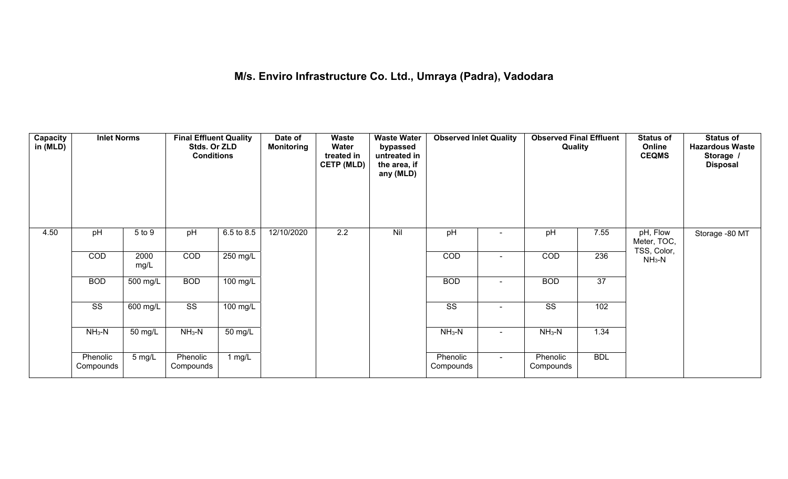# **M/s. Enviro Infrastructure Co. Ltd., Umraya (Padra), Vadodara**

| Capacity<br>in (MLD) | <b>Inlet Norms</b>     |              | <b>Final Effluent Quality</b><br>Stds. Or ZLD<br><b>Conditions</b> |                    | Date of<br><b>Monitoring</b> | <b>Waste</b><br>Water<br>treated in<br><b>CETP (MLD)</b> | <b>Waste Water</b><br>bypassed<br>untreated in<br>the area, if<br>any (MLD) | <b>Observed Inlet Quality</b> |                | <b>Observed Final Effluent</b><br>Quality |                 | <b>Status of</b><br>Online<br><b>CEQMS</b> | <b>Status of</b><br><b>Hazardous Waste</b><br>Storage /<br><b>Disposal</b> |
|----------------------|------------------------|--------------|--------------------------------------------------------------------|--------------------|------------------------------|----------------------------------------------------------|-----------------------------------------------------------------------------|-------------------------------|----------------|-------------------------------------------|-----------------|--------------------------------------------|----------------------------------------------------------------------------|
| 4.50                 | pH                     | 5 to 9       | pH                                                                 | 6.5 to 8.5         | 12/10/2020                   | 2.2                                                      | Nil                                                                         | pH                            |                | pH                                        | 7.55            | pH, Flow<br>Meter, TOC,<br>TSS, Color,     | Storage -80 MT                                                             |
|                      | COD                    | 2000<br>mg/L | COD                                                                | 250 mg/L           |                              |                                                          |                                                                             | COD                           |                | COD                                       | 236             | $NH_3-N$                                   |                                                                            |
|                      | <b>BOD</b>             | 500 mg/L     | <b>BOD</b>                                                         | 100 mg/L           |                              |                                                          |                                                                             | <b>BOD</b>                    | $\blacksquare$ | <b>BOD</b>                                | $\overline{37}$ |                                            |                                                                            |
|                      | $\overline{\text{ss}}$ | 600 mg/L     | $\overline{\text{ss}}$                                             | $100 \text{ mg/L}$ |                              |                                                          |                                                                             | $\overline{\text{ss}}$        | $\sim$         | $\overline{\text{ss}}$                    | 102             |                                            |                                                                            |
|                      | $NH_3-N$               | 50 mg/L      | $NH_3-N$                                                           | 50 mg/L            |                              |                                                          |                                                                             | $NH3-N$                       |                | $NH3-N$                                   | 1.34            |                                            |                                                                            |
|                      | Phenolic<br>Compounds  | 5 mg/L       | Phenolic<br>Compounds                                              | 1 $mg/L$           |                              |                                                          |                                                                             | Phenolic<br>Compounds         | $\sim$         | Phenolic<br>Compounds                     | <b>BDL</b>      |                                            |                                                                            |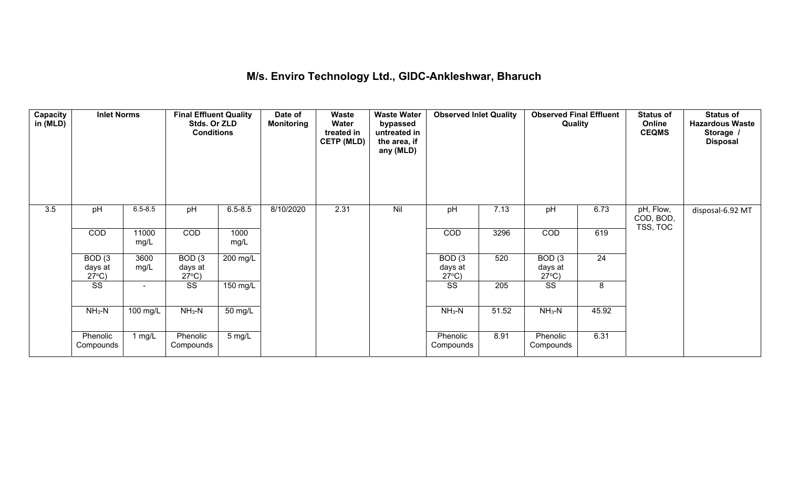## **M/s. Enviro Technology Ltd., GIDC-Ankleshwar, Bharuch**

| Capacity<br>in (MLD) | <b>Inlet Norms</b>                   |               | <b>Final Effluent Quality</b><br>Stds. Or ZLD<br><b>Conditions</b> |                  | Date of<br><b>Monitoring</b> | <b>Waste</b><br>Water<br>treated in<br><b>CETP (MLD)</b> | <b>Waste Water</b><br>bypassed<br>untreated in<br>the area, if<br>any (MLD) | <b>Observed Inlet Quality</b>        |       | <b>Observed Final Effluent</b><br>Quality |                 | <b>Status of</b><br>Online<br><b>CEQMS</b> | <b>Status of</b><br><b>Hazardous Waste</b><br>Storage /<br><b>Disposal</b> |
|----------------------|--------------------------------------|---------------|--------------------------------------------------------------------|------------------|------------------------------|----------------------------------------------------------|-----------------------------------------------------------------------------|--------------------------------------|-------|-------------------------------------------|-----------------|--------------------------------------------|----------------------------------------------------------------------------|
| 3.5                  | pH                                   | $6.5 - 8.5$   | pH                                                                 | $6.5 - 8.5$      | 8/10/2020                    | 2.31                                                     | Nil                                                                         | pH                                   | 7.13  | pH                                        | 6.73            | pH, Flow,<br>COD, BOD,<br>TSS, TOC         | disposal-6.92 MT                                                           |
|                      | COD                                  | 11000<br>mg/L | COD                                                                | 1000<br>mg/L     |                              |                                                          |                                                                             | <b>COD</b>                           | 3296  | COD                                       | 619             |                                            |                                                                            |
|                      | BOD(3)<br>days at<br>$27^{\circ}C$ ) | 3600<br>mg/L  | BOD(3)<br>days at<br>$27^{\circ}$ C)                               | 200 mg/L         |                              |                                                          |                                                                             | BOD(3)<br>days at<br>$27^{\circ}$ C) | 520   | BOD(3)<br>days at<br>$27^{\circ}C$ )      | $\overline{24}$ |                                            |                                                                            |
|                      | $\overline{\text{ss}}$               |               | SS                                                                 | 150 mg/L         |                              |                                                          |                                                                             | <b>SS</b>                            | 205   | SS                                        | 8               |                                            |                                                                            |
|                      | $NH3-N$                              | 100 mg/L      | $NH3-N$                                                            | 50 mg/L          |                              |                                                          |                                                                             | $NH3-N$                              | 51.52 | $NH3-N$                                   | 45.92           |                                            |                                                                            |
|                      | Phenolic<br>Compounds                | 1 $mg/L$      | Phenolic<br>Compounds                                              | $5 \text{ mg/L}$ |                              |                                                          |                                                                             | Phenolic<br>Compounds                | 8.91  | Phenolic<br>Compounds                     | 6.31            |                                            |                                                                            |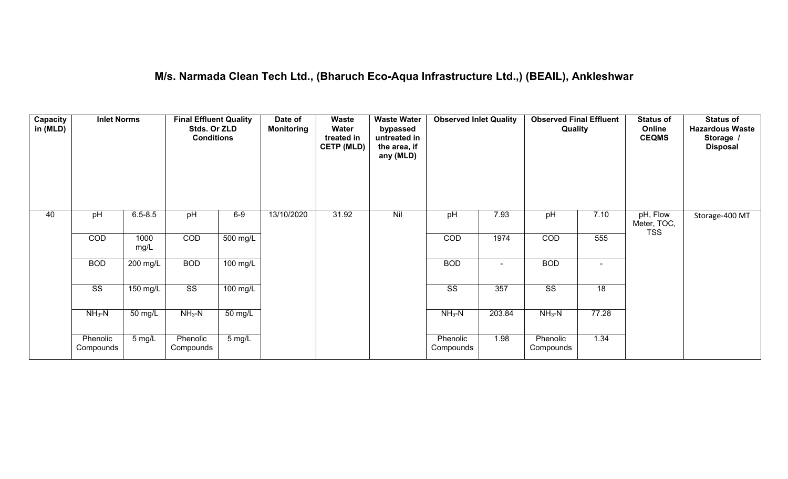### **M/s. Narmada Clean Tech Ltd., (Bharuch Eco-Aqua Infrastructure Ltd.,) (BEAIL), Ankleshwar**

| Capacity<br>in (MLD) | <b>Inlet Norms</b>     |              | <b>Final Effluent Quality</b><br>Stds. Or ZLD<br><b>Conditions</b> |                  | Date of<br><b>Monitoring</b> | <b>Waste</b><br>Water<br>treated in<br><b>CETP (MLD)</b> | <b>Waste Water</b><br>bypassed<br>untreated in<br>the area, if<br>any (MLD) | <b>Observed Inlet Quality</b> |        | <b>Observed Final Effluent</b><br>Quality |                | <b>Status of</b><br>Online<br><b>CEQMS</b> | <b>Status of</b><br><b>Hazardous Waste</b><br>Storage /<br><b>Disposal</b> |
|----------------------|------------------------|--------------|--------------------------------------------------------------------|------------------|------------------------------|----------------------------------------------------------|-----------------------------------------------------------------------------|-------------------------------|--------|-------------------------------------------|----------------|--------------------------------------------|----------------------------------------------------------------------------|
| 40                   | pH                     | $6.5 - 8.5$  | pH                                                                 | $6-9$            | 13/10/2020                   | 31.92                                                    | Nil                                                                         | pH                            | 7.93   | pH                                        | 7.10           | pH, Flow<br>Meter, TOC,<br><b>TSS</b>      | Storage-400 MT                                                             |
|                      | COD                    | 1000<br>mg/L | COD                                                                | 500 mg/L         |                              |                                                          |                                                                             | COD                           | 1974   | COD                                       | 555            |                                            |                                                                            |
|                      | <b>BOD</b>             | 200 mg/L     | <b>BOD</b>                                                         | $100$ mg/L       |                              |                                                          |                                                                             | <b>BOD</b>                    | $\sim$ | <b>BOD</b>                                | $\blacksquare$ |                                            |                                                                            |
|                      | $\overline{\text{ss}}$ | $150$ mg/L   | $\overline{\text{SS}}$                                             | 100 mg/L         |                              |                                                          |                                                                             | $\overline{\text{ss}}$        | 357    | $\overline{\text{ss}}$                    | 18             |                                            |                                                                            |
|                      | $NH_3-N$               | 50 mg/L      | $NH3-N$                                                            | 50 mg/L          |                              |                                                          |                                                                             | $NH3-N$                       | 203.84 | $NH3-N$                                   | 77.28          |                                            |                                                                            |
|                      | Phenolic<br>Compounds  | 5 mg/L       | Phenolic<br>Compounds                                              | $5 \text{ mg/L}$ |                              |                                                          |                                                                             | Phenolic<br>Compounds         | 1.98   | Phenolic<br>Compounds                     | 1.34           |                                            |                                                                            |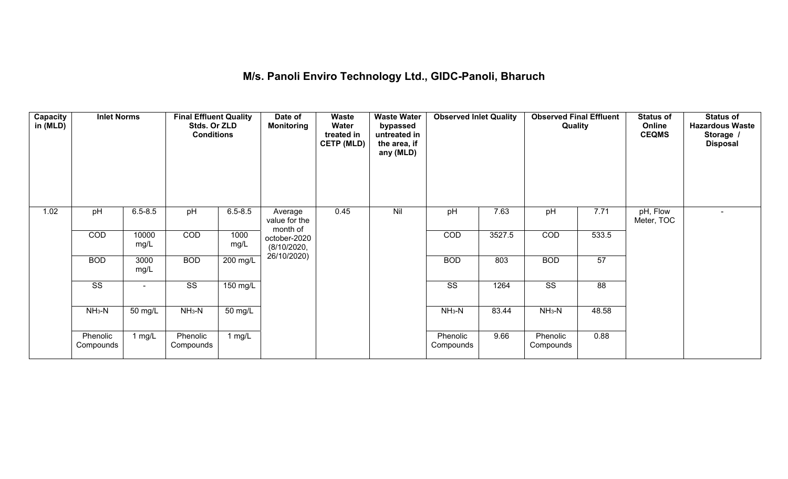## **M/s. Panoli Enviro Technology Ltd., GIDC-Panoli, Bharuch**

| Capacity<br>in (MLD) | <b>Inlet Norms</b>     |               | <b>Final Effluent Quality</b><br>Stds. Or ZLD<br><b>Conditions</b> |                    | Date of<br><b>Monitoring</b>         | Waste<br>Water<br>treated in<br><b>CETP (MLD)</b> | <b>Waste Water</b><br>bypassed<br>untreated in<br>the area, if<br>any (MLD) | <b>Observed Inlet Quality</b> |        | <b>Observed Final Effluent</b><br>Quality |                 | <b>Status of</b><br>Online<br><b>CEQMS</b> | <b>Status of</b><br><b>Hazardous Waste</b><br>Storage /<br><b>Disposal</b> |
|----------------------|------------------------|---------------|--------------------------------------------------------------------|--------------------|--------------------------------------|---------------------------------------------------|-----------------------------------------------------------------------------|-------------------------------|--------|-------------------------------------------|-----------------|--------------------------------------------|----------------------------------------------------------------------------|
| 1.02                 | pH                     | $6.5 - 8.5$   | pH                                                                 | $6.5 - 8.5$        | Average<br>value for the<br>month of | 0.45                                              | Nil                                                                         | pH                            | 7.63   | pH                                        | 7.71            | pH, Flow<br>Meter, TOC                     | $\sim$                                                                     |
|                      | COD                    | 10000<br>mg/L | COD                                                                | 1000<br>mg/L       | october-2020<br>(8/10/2020,          |                                                   |                                                                             | COD                           | 3527.5 | COD                                       | 533.5           |                                            |                                                                            |
|                      | <b>BOD</b>             | 3000<br>mg/L  | <b>BOD</b>                                                         | 200 mg/L           | 26/10/2020)                          |                                                   |                                                                             | <b>BOD</b>                    | 803    | <b>BOD</b>                                | 57              |                                            |                                                                            |
|                      | $\overline{\text{ss}}$ |               | $\overline{\text{ss}}$                                             | $150 \text{ mg/L}$ |                                      |                                                   |                                                                             | $\overline{\text{ss}}$        | 1264   | $\overline{\text{SS}}$                    | $\overline{88}$ |                                            |                                                                            |
|                      | $NH3-N$                | 50 mg/L       | $NH3-N$                                                            | 50 mg/L            |                                      |                                                   |                                                                             | $NH3-N$                       | 83.44  | $NH3-N$                                   | 48.58           |                                            |                                                                            |
|                      | Phenolic<br>Compounds  | 1 mg/ $L$     | Phenolic<br>Compounds                                              | 1 $mg/L$           |                                      |                                                   |                                                                             | Phenolic<br>Compounds         | 9.66   | Phenolic<br>Compounds                     | 0.88            |                                            |                                                                            |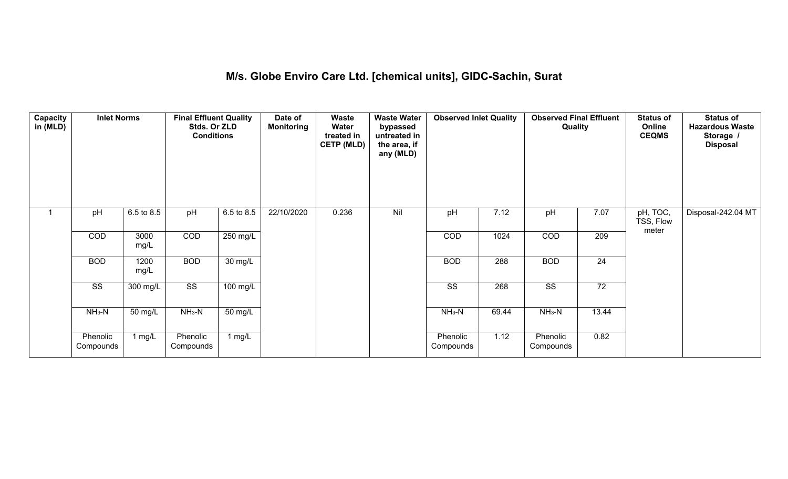### **M/s. Globe Enviro Care Ltd. [chemical units], GIDC-Sachin, Surat**

| Capacity<br>in (MLD) | <b>Inlet Norms</b>     |              | <b>Final Effluent Quality</b><br>Stds. Or ZLD<br><b>Conditions</b> |                       | Date of<br><b>Monitoring</b> | <b>Waste</b><br>Water<br>treated in<br><b>CETP (MLD)</b> | <b>Waste Water</b><br>bypassed<br>untreated in<br>the area, if<br>any (MLD) | <b>Observed Inlet Quality</b> |       | <b>Observed Final Effluent</b><br>Quality |                 | <b>Status of</b><br>Online<br><b>CEQMS</b> | <b>Status of</b><br><b>Hazardous Waste</b><br>Storage /<br><b>Disposal</b> |
|----------------------|------------------------|--------------|--------------------------------------------------------------------|-----------------------|------------------------------|----------------------------------------------------------|-----------------------------------------------------------------------------|-------------------------------|-------|-------------------------------------------|-----------------|--------------------------------------------|----------------------------------------------------------------------------|
|                      | pH                     | 6.5 to 8.5   | pH                                                                 | 6.5 to 8.5            | 22/10/2020                   | 0.236                                                    | Nil                                                                         | pH                            | 7.12  | pH                                        | 7.07            | pH, TOC,<br>TSS, Flow<br>meter             | Disposal-242.04 MT                                                         |
|                      | COD                    | 3000<br>mg/L | COD                                                                | 250 mg/L              |                              |                                                          |                                                                             | COD                           | 1024  | COD                                       | 209             |                                            |                                                                            |
|                      | <b>BOD</b>             | 1200<br>mg/L | <b>BOD</b>                                                         | $30 \text{ mg/L}$     |                              |                                                          |                                                                             | <b>BOD</b>                    | 288   | <b>BOD</b>                                | $\overline{24}$ |                                            |                                                                            |
|                      | $\overline{\text{ss}}$ | 300 mg/L     | $\overline{\text{ss}}$                                             | $\overline{100}$ mg/L |                              |                                                          |                                                                             | $\overline{\text{SS}}$        | 268   | $\overline{\text{ss}}$                    | 72              |                                            |                                                                            |
|                      | $NH3-N$                | 50 mg/L      | $NH3-N$                                                            | 50 mg/L               |                              |                                                          |                                                                             | $NH3-N$                       | 69.44 | $NH3-N$                                   | 13.44           |                                            |                                                                            |
|                      | Phenolic<br>Compounds  | 1 $mg/L$     | Phenolic<br>Compounds                                              | 1 mg/L                |                              |                                                          |                                                                             | Phenolic<br>Compounds         | 1.12  | Phenolic<br>Compounds                     | 0.82            |                                            |                                                                            |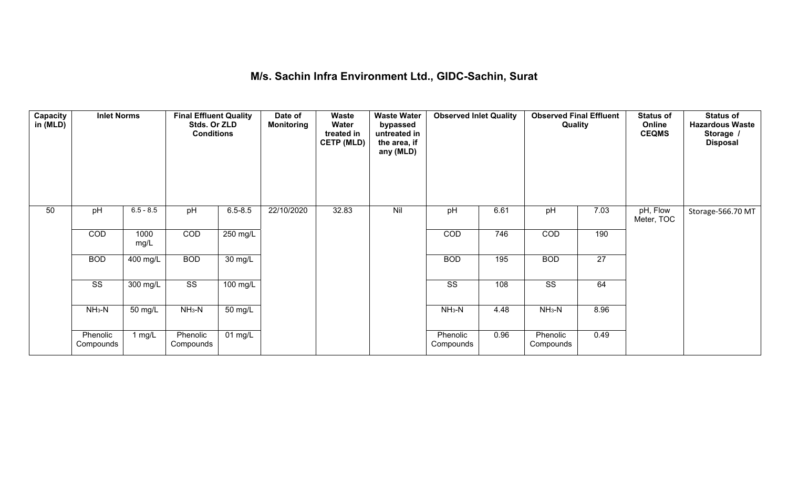## **M/s. Sachin Infra Environment Ltd., GIDC-Sachin, Surat**

| Capacity<br>in (MLD) | <b>Inlet Norms</b>     |                    | <b>Final Effluent Quality</b><br>Stds. Or ZLD<br><b>Conditions</b> |                    | Date of<br><b>Monitoring</b> | Waste<br>Water<br>treated in<br><b>CETP (MLD)</b> | <b>Waste Water</b><br>bypassed<br>untreated in<br>the area, if<br>any (MLD) | <b>Observed Inlet Quality</b> |      | <b>Observed Final Effluent</b><br>Quality |                 | <b>Status of</b><br>Online<br><b>CEQMS</b> | <b>Status of</b><br><b>Hazardous Waste</b><br>Storage /<br><b>Disposal</b> |
|----------------------|------------------------|--------------------|--------------------------------------------------------------------|--------------------|------------------------------|---------------------------------------------------|-----------------------------------------------------------------------------|-------------------------------|------|-------------------------------------------|-----------------|--------------------------------------------|----------------------------------------------------------------------------|
| 50                   | pH                     | $6.5 - 8.5$        | pH                                                                 | $6.5 - 8.5$        | 22/10/2020                   | 32.83                                             | Nil                                                                         | pH                            | 6.61 | pH                                        | 7.03            | pH, Flow<br>Meter, TOC                     | Storage-566.70 MT                                                          |
|                      | COD                    | 1000<br>mg/L       | COD                                                                | 250 mg/L           |                              |                                                   |                                                                             | $\overline{COD}$              | 746  | COD                                       | 190             |                                            |                                                                            |
|                      | <b>BOD</b>             | $400$ mg/L         | <b>BOD</b>                                                         | $30 \text{ mg/L}$  |                              |                                                   |                                                                             | <b>BOD</b>                    | 195  | <b>BOD</b>                                | $\overline{27}$ |                                            |                                                                            |
|                      | $\overline{\text{ss}}$ | $300 \text{ mg/L}$ | $\overline{\text{ss}}$                                             | $100 \text{ mg/L}$ |                              |                                                   |                                                                             | $\overline{\text{ss}}$        | 108  | $\overline{\text{SS}}$                    | 64              |                                            |                                                                            |
|                      | $NH3-N$                | 50 mg/L            | $NH3-N$                                                            | 50 mg/L            |                              |                                                   |                                                                             | $NH3-N$                       | 4.48 | $NH3-N$                                   | 8.96            |                                            |                                                                            |
|                      | Phenolic<br>Compounds  | 1 mg/L             | Phenolic<br>Compounds                                              | $01$ mg/L          |                              |                                                   |                                                                             | Phenolic<br>Compounds         | 0.96 | Phenolic<br>Compounds                     | 0.49            |                                            |                                                                            |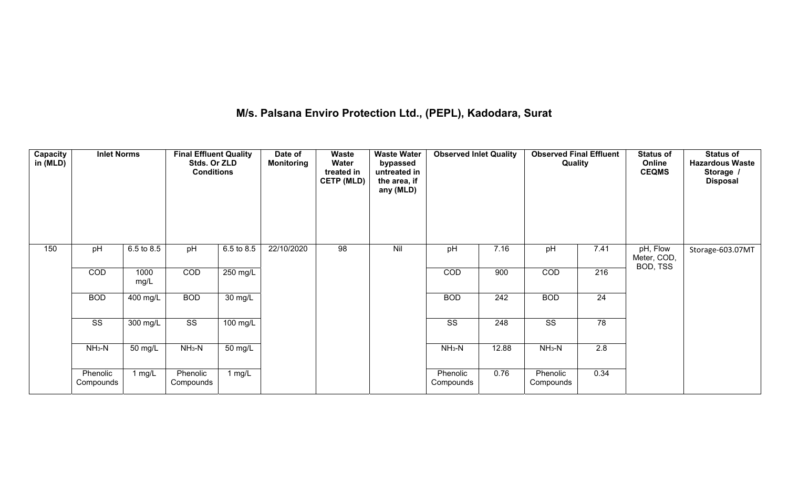## **M/s. Palsana Enviro Protection Ltd., (PEPL), Kadodara, Surat**

| Capacity<br>in (MLD) | <b>Inlet Norms</b>    |              | <b>Final Effluent Quality</b><br>Stds. Or ZLD<br><b>Conditions</b> |                      | Date of<br><b>Monitoring</b> | <b>Waste</b><br>Water<br>treated in<br><b>CETP (MLD)</b> | <b>Waste Water</b><br>bypassed<br>untreated in<br>the area, if<br>any (MLD) | <b>Observed Inlet Quality</b> |                  | <b>Observed Final Effluent</b><br>Quality |                 | <b>Status of</b><br>Online<br><b>CEQMS</b> | <b>Status of</b><br><b>Hazardous Waste</b><br>Storage /<br><b>Disposal</b> |
|----------------------|-----------------------|--------------|--------------------------------------------------------------------|----------------------|------------------------------|----------------------------------------------------------|-----------------------------------------------------------------------------|-------------------------------|------------------|-------------------------------------------|-----------------|--------------------------------------------|----------------------------------------------------------------------------|
| 150                  | pH                    | 6.5 to 8.5   | pH                                                                 | 6.5 to 8.5           | 22/10/2020                   | 98                                                       | Nil                                                                         | pH                            | 7.16             | pH                                        | 7.41            | pH, Flow<br>Meter, COD,<br>BOD, TSS        | Storage-603.07MT                                                           |
|                      | COD                   | 1000<br>mg/L | COD                                                                | $250 \text{ mg/L}$   |                              |                                                          |                                                                             | COD                           | 900              | COD                                       | 216             |                                            |                                                                            |
|                      | <b>BOD</b>            | 400 mg/L     | <b>BOD</b>                                                         | $\overline{30}$ mg/L |                              |                                                          |                                                                             | <b>BOD</b>                    | $\overline{242}$ | <b>BOD</b>                                | $\overline{24}$ |                                            |                                                                            |
|                      | SS                    | 300 mg/L     | $\overline{\text{ss}}$                                             | $100$ mg/L           |                              |                                                          |                                                                             | SS                            | 248              | $\overline{\text{SS}}$                    | 78              |                                            |                                                                            |
|                      | $NH_3-N$              | 50 mg/L      | $NH_3-N$                                                           | 50 mg/L              |                              |                                                          |                                                                             | $NH3-N$                       | 12.88            | $NH_3-N$                                  | 2.8             |                                            |                                                                            |
|                      | Phenolic<br>Compounds | 1 $mg/L$     | Phenolic<br>Compounds                                              | 1 mg/L               |                              |                                                          |                                                                             | Phenolic<br>Compounds         | 0.76             | Phenolic<br>Compounds                     | 0.34            |                                            |                                                                            |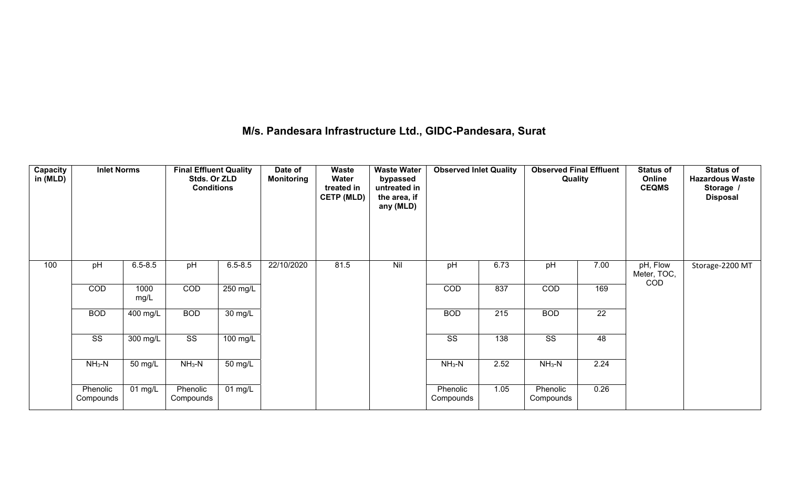### **M/s. Pandesara Infrastructure Ltd., GIDC-Pandesara, Surat**

| Capacity<br>in (MLD) | <b>Inlet Norms</b>     |              | <b>Final Effluent Quality</b><br>Stds. Or ZLD<br><b>Conditions</b> |                   | Date of<br><b>Monitoring</b> | Waste<br>Water<br>treated in<br><b>CETP (MLD)</b> | <b>Waste Water</b><br>bypassed<br>untreated in<br>the area, if<br>any (MLD) | <b>Observed Inlet Quality</b> |      | <b>Observed Final Effluent</b><br>Quality |      | <b>Status of</b><br>Online<br><b>CEQMS</b> | <b>Status of</b><br><b>Hazardous Waste</b><br>Storage /<br><b>Disposal</b> |
|----------------------|------------------------|--------------|--------------------------------------------------------------------|-------------------|------------------------------|---------------------------------------------------|-----------------------------------------------------------------------------|-------------------------------|------|-------------------------------------------|------|--------------------------------------------|----------------------------------------------------------------------------|
| 100                  | pH                     | $6.5 - 8.5$  | pH                                                                 | $6.5 - 8.5$       | 22/10/2020                   | 81.5                                              | Nil                                                                         | pH                            | 6.73 | pH                                        | 7.00 | pH, Flow<br>Meter, TOC,                    | Storage-2200 MT                                                            |
|                      | <b>COD</b>             | 1000<br>mg/L | COD                                                                | $250$ mg/L        |                              |                                                   |                                                                             | COD                           | 837  | <b>COD</b>                                | 169  | <b>COD</b>                                 |                                                                            |
|                      | <b>BOD</b>             | 400 mg/L     | <b>BOD</b>                                                         | 30 mg/L           |                              |                                                   |                                                                             | <b>BOD</b>                    | 215  | <b>BOD</b>                                | 22   |                                            |                                                                            |
|                      | $\overline{\text{ss}}$ | 300 mg/L     | $\overline{\text{SS}}$                                             | 100 mg/L          |                              |                                                   |                                                                             | $\overline{\text{ss}}$        | 138  | $\overline{\text{ss}}$                    | 48   |                                            |                                                                            |
|                      | $NH3-N$                | 50 mg/L      | $NH3-N$                                                            | 50 mg/L           |                              |                                                   |                                                                             | $NH3-N$                       | 2.52 | $\overline{\text{NH}_3\text{-N}}$         | 2.24 |                                            |                                                                            |
|                      | Phenolic<br>Compounds  | $01$ mg/L    | Phenolic<br>Compounds                                              | $01 \text{ mg/L}$ |                              |                                                   |                                                                             | Phenolic<br>Compounds         | 1.05 | Phenolic<br>Compounds                     | 0.26 |                                            |                                                                            |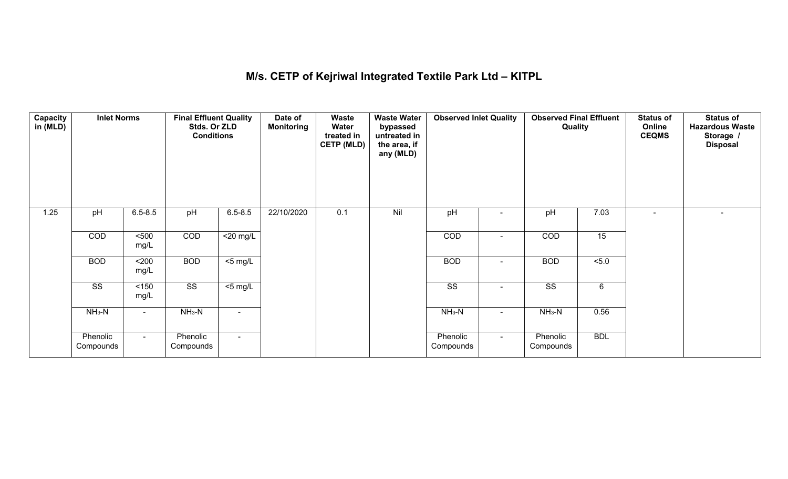## **M/s. CETP of Kejriwal Integrated Textile Park Ltd – KITPL**

| Capacity<br>in (MLD) | <b>Inlet Norms</b>     |                | <b>Final Effluent Quality</b><br>Stds. Or ZLD<br><b>Conditions</b> |                | Date of<br><b>Monitoring</b> | Waste<br>Water<br>treated in<br><b>CETP (MLD)</b> | <b>Waste Water</b><br>bypassed<br>untreated in<br>the area, if<br>any (MLD) | <b>Observed Inlet Quality</b> |                | <b>Observed Final Effluent</b><br>Quality |                 | <b>Status of</b><br>Online<br><b>CEQMS</b> | <b>Status of</b><br><b>Hazardous Waste</b><br>Storage /<br><b>Disposal</b> |
|----------------------|------------------------|----------------|--------------------------------------------------------------------|----------------|------------------------------|---------------------------------------------------|-----------------------------------------------------------------------------|-------------------------------|----------------|-------------------------------------------|-----------------|--------------------------------------------|----------------------------------------------------------------------------|
| 1.25                 | pH                     | $6.5 - 8.5$    | pH                                                                 | $6.5 - 8.5$    | 22/10/2020                   | 0.1                                               | Nil                                                                         | pH                            |                | pH                                        | 7.03            |                                            |                                                                            |
|                      | COD                    | 500<br>mg/L    | COD                                                                | $<$ 20 mg/L    |                              |                                                   |                                                                             | COD                           | $\blacksquare$ | COD                                       | 15              |                                            |                                                                            |
|                      | <b>BOD</b>             | $200$<br>mg/L  | <b>BOD</b>                                                         | $<$ 5 mg/L     |                              |                                                   |                                                                             | <b>BOD</b>                    | $\blacksquare$ | <b>BOD</b>                                | 5.0             |                                            |                                                                            |
|                      | $\overline{\text{ss}}$ | $<150$<br>mg/L | $\overline{\text{ss}}$                                             | $<$ 5 mg/L     |                              |                                                   |                                                                             | $\overline{\text{ss}}$        | $\blacksquare$ | $\overline{\text{ss}}$                    | $6\phantom{.}6$ |                                            |                                                                            |
|                      | $NH3-N$                | $\sim$         | $NH3-N$                                                            | $\blacksquare$ |                              |                                                   |                                                                             | $NH_3-N$                      | $\blacksquare$ | $NH_3-N$                                  | 0.56            |                                            |                                                                            |
|                      | Phenolic<br>Compounds  | $\sim$ 10 $\,$ | Phenolic<br>Compounds                                              | $\sim$         |                              |                                                   |                                                                             | Phenolic<br>Compounds         | $\sim$         | Phenolic<br>Compounds                     | <b>BDL</b>      |                                            |                                                                            |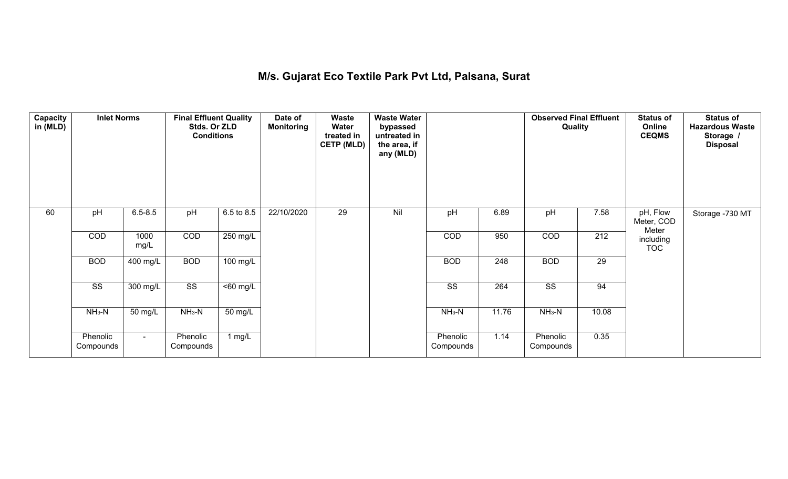### **M/s. Gujarat Eco Textile Park Pvt Ltd, Palsana, Surat**

| Capacity<br>in (MLD) | <b>Inlet Norms</b>    |                       | <b>Final Effluent Quality</b><br>Stds. Or ZLD<br><b>Conditions</b> |                      | Date of<br><b>Monitoring</b> | Waste<br>Water<br>treated in<br><b>CETP (MLD)</b> | <b>Waste Water</b><br>bypassed<br>untreated in<br>the area, if<br>any (MLD) |                       |       | <b>Observed Final Effluent</b><br>Quality |                  | <b>Status of</b><br>Online<br><b>CEQMS</b> | <b>Status of</b><br><b>Hazardous Waste</b><br>Storage /<br><b>Disposal</b> |
|----------------------|-----------------------|-----------------------|--------------------------------------------------------------------|----------------------|------------------------------|---------------------------------------------------|-----------------------------------------------------------------------------|-----------------------|-------|-------------------------------------------|------------------|--------------------------------------------|----------------------------------------------------------------------------|
| 60                   | pH                    | $6.5 - 8.5$           | pH                                                                 | 6.5 to 8.5           | 22/10/2020                   | 29                                                | Nil                                                                         | pH                    | 6.89  | pH                                        | 7.58             | pH, Flow<br>Meter, COD<br>Meter            | Storage -730 MT                                                            |
|                      | COD                   | 1000<br>mg/L          | COD                                                                | 250 mg/L             |                              |                                                   |                                                                             | COD                   | 950   | COD                                       | $\overline{212}$ | including<br><b>TOC</b>                    |                                                                            |
|                      | <b>BOD</b>            | $\overline{400}$ mg/L | <b>BOD</b>                                                         | $100$ mg/L           |                              |                                                   |                                                                             | <b>BOD</b>            | 248   | <b>BOD</b>                                | 29               |                                            |                                                                            |
|                      | SS                    | 300 mg/L              | SS                                                                 | $\overline{50}$ mg/L |                              |                                                   |                                                                             | SS                    | 264   | SS                                        | 94               |                                            |                                                                            |
|                      | $NH3-N$               | 50 mg/L               | $NH3-N$                                                            | 50 mg/L              |                              |                                                   |                                                                             | $NH3-N$               | 11.76 | $NH3-N$                                   | 10.08            |                                            |                                                                            |
|                      | Phenolic<br>Compounds | $\sim$                | Phenolic<br>Compounds                                              | 1 mg/L               |                              |                                                   |                                                                             | Phenolic<br>Compounds | 1.14  | Phenolic<br>Compounds                     | 0.35             |                                            |                                                                            |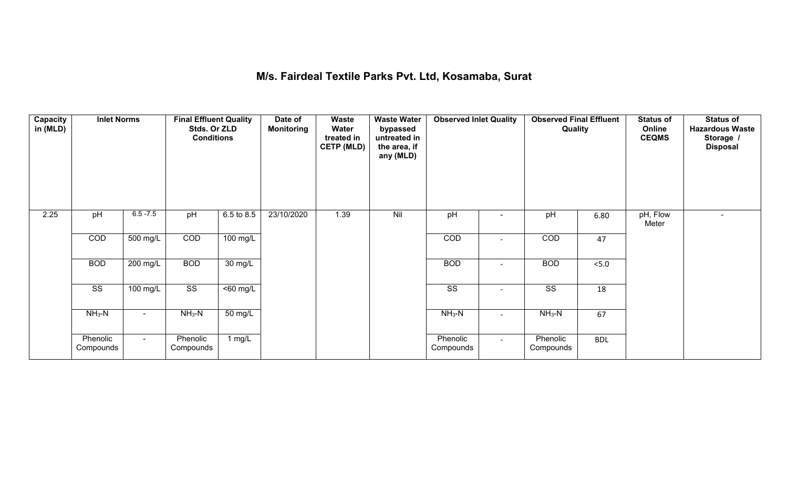### **M/s. Fairdeal Textile Parks Pvt. Ltd, Kosamaba, Surat**

| Capacity<br>in (MLD) | <b>Inlet Norms</b>     |                    | <b>Final Effluent Quality</b><br>Stds. Or ZLD<br><b>Conditions</b> |                              | Date of<br><b>Monitoring</b> | Waste<br>Water<br>treated in<br><b>CETP (MLD)</b> | <b>Waste Water</b><br>bypassed<br>untreated in<br>the area, if<br>any (MLD) | <b>Observed Inlet Quality</b> |                          | <b>Observed Final Effluent</b><br>Quality |            | <b>Status of</b><br>Online<br><b>CEQMS</b> | <b>Status of</b><br><b>Hazardous Waste</b><br>Storage /<br><b>Disposal</b> |
|----------------------|------------------------|--------------------|--------------------------------------------------------------------|------------------------------|------------------------------|---------------------------------------------------|-----------------------------------------------------------------------------|-------------------------------|--------------------------|-------------------------------------------|------------|--------------------------------------------|----------------------------------------------------------------------------|
| 2.25                 | pH                     | $6.5 - 7.5$        | pH                                                                 | 6.5 to 8.5                   | 23/10/2020                   | 1.39                                              | Nil                                                                         | pH                            |                          | pH                                        | 6.80       | pH, Flow<br>Meter                          |                                                                            |
|                      | COD                    | 500 mg/L           | COD                                                                | 100 mg/L                     |                              |                                                   |                                                                             | COD                           | $\overline{\phantom{a}}$ | COD                                       | 47         |                                            |                                                                            |
|                      | <b>BOD</b>             | 200 mg/L           | <b>BOD</b>                                                         | $\overline{30}$ mg/L         |                              |                                                   |                                                                             | <b>BOD</b>                    |                          | <b>BOD</b>                                | $<5.0$     |                                            |                                                                            |
|                      | $\overline{\text{SS}}$ | $100 \text{ mg/L}$ | $\overline{\text{ss}}$                                             | $\overline{50 \text{ mg}}$ L |                              |                                                   |                                                                             | $\overline{\text{SS}}$        | $\overline{\phantom{a}}$ | $\overline{\text{ss}}$                    | 18         |                                            |                                                                            |
|                      | $NH3-N$                | $\blacksquare$     | $NH3-N$                                                            | 50 mg/L                      |                              |                                                   |                                                                             | $NH3-N$                       | $\overline{\phantom{a}}$ | $NH_3-N$                                  | 67         |                                            |                                                                            |
|                      | Phenolic<br>Compounds  | $\sim$ 10 $\pm$    | Phenolic<br>Compounds                                              | 1 $mg/L$                     |                              |                                                   |                                                                             | Phenolic<br>Compounds         | $\sim$                   | Phenolic<br>Compounds                     | <b>BDL</b> |                                            |                                                                            |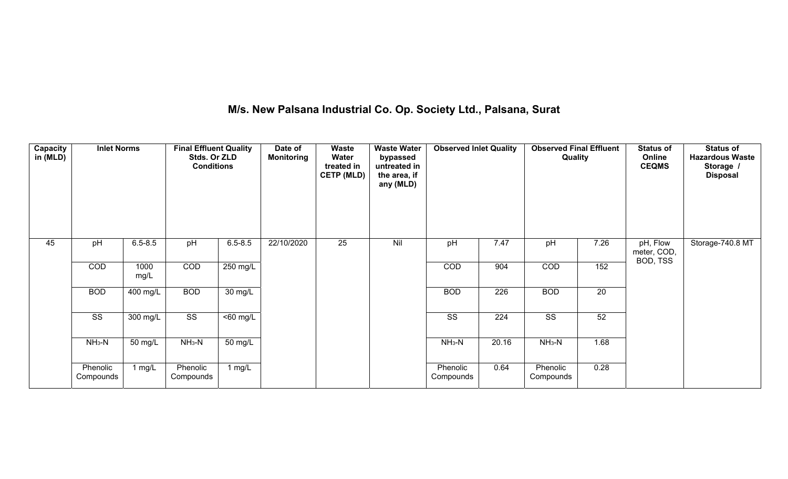## **M/s. New Palsana Industrial Co. Op. Society Ltd., Palsana, Surat**

| <b>Capacity</b><br>in (MLD) | <b>Inlet Norms</b>     |                       | <b>Final Effluent Quality</b><br>Stds. Or ZLD<br><b>Conditions</b> |             | Date of<br><b>Monitoring</b> | Waste<br>Water<br>treated in<br><b>CETP (MLD)</b> | <b>Waste Water</b><br>bypassed<br>untreated in<br>the area, if<br>any (MLD) | <b>Observed Inlet Quality</b> |                  | <b>Observed Final Effluent</b><br>Quality |                 | <b>Status of</b><br>Online<br><b>CEQMS</b> | <b>Status of</b><br><b>Hazardous Waste</b><br>Storage /<br><b>Disposal</b> |
|-----------------------------|------------------------|-----------------------|--------------------------------------------------------------------|-------------|------------------------------|---------------------------------------------------|-----------------------------------------------------------------------------|-------------------------------|------------------|-------------------------------------------|-----------------|--------------------------------------------|----------------------------------------------------------------------------|
| 45                          | pH                     | $6.5 - 8.5$           | pH                                                                 | $6.5 - 8.5$ | 22/10/2020                   | 25                                                | Nil                                                                         | pH                            | 7.47             | pH                                        | 7.26            | pH, Flow<br>meter, COD,<br>BOD, TSS        | Storage-740.8 MT                                                           |
|                             | COD                    | 1000<br>mg/L          | COD                                                                | 250 mg/L    |                              |                                                   |                                                                             | COD                           | 904              | COD                                       | 152             |                                            |                                                                            |
|                             | <b>BOD</b>             | $\overline{400}$ mg/L | <b>BOD</b>                                                         | 30 mg/L     |                              |                                                   |                                                                             | <b>BOD</b>                    | $\overline{226}$ | <b>BOD</b>                                | $\overline{20}$ |                                            |                                                                            |
|                             | $\overline{\text{ss}}$ | 300 mg/L              | $\overline{\text{ss}}$                                             | $50$ mg/L   |                              |                                                   |                                                                             | $\overline{\text{ss}}$        | $\overline{224}$ | $\overline{\text{SS}}$                    | 52              |                                            |                                                                            |
|                             | $NH3-N$                | 50 mg/L               | $NH3-N$                                                            | 50 mg/L     |                              |                                                   |                                                                             | $NH3-N$                       | 20.16            | $NH3-N$                                   | 1.68            |                                            |                                                                            |
|                             | Phenolic<br>Compounds  | 1 $mg/L$              | Phenolic<br>Compounds                                              | 1 $mg/L$    |                              |                                                   |                                                                             | Phenolic<br>Compounds         | 0.64             | Phenolic<br>Compounds                     | 0.28            |                                            |                                                                            |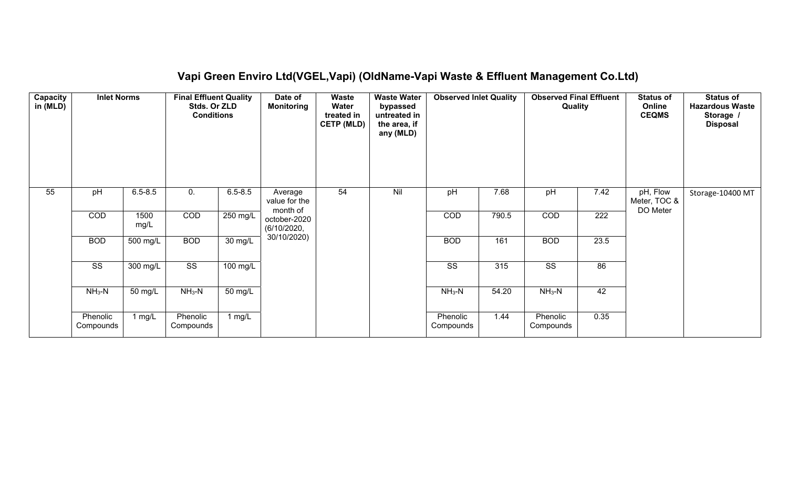## **Vapi Green Enviro Ltd(VGEL,Vapi) (OldName-Vapi Waste & Effluent Management Co.Ltd)**

| Capacity<br>in (MLD) | <b>Inlet Norms</b>     |              | <b>Final Effluent Quality</b><br>Stds. Or ZLD<br><b>Conditions</b> |                      | Date of<br><b>Monitoring</b>         | Waste<br>Water<br>treated in<br><b>CETP (MLD)</b> | <b>Waste Water</b><br>bypassed<br>untreated in<br>the area, if<br>any (MLD) | <b>Observed Inlet Quality</b> |       | <b>Observed Final Effluent</b><br>Quality |                  | <b>Status of</b><br>Online<br><b>CEQMS</b> | <b>Status of</b><br><b>Hazardous Waste</b><br>Storage /<br><b>Disposal</b> |
|----------------------|------------------------|--------------|--------------------------------------------------------------------|----------------------|--------------------------------------|---------------------------------------------------|-----------------------------------------------------------------------------|-------------------------------|-------|-------------------------------------------|------------------|--------------------------------------------|----------------------------------------------------------------------------|
| $\overline{55}$      | pH                     | $6.5 - 8.5$  | 0.                                                                 | $6.5 - 8.5$          | Average<br>value for the<br>month of | 54                                                | Nil                                                                         | pH                            | 7.68  | pH                                        | 7.42             | pH, Flow<br>Meter, TOC &<br>DO Meter       | Storage-10400 MT                                                           |
|                      | COD                    | 1500<br>mg/L | COD                                                                | 250 mg/L             | october-2020<br>(6/10/2020,          |                                                   |                                                                             | COD                           | 790.5 | COD                                       | $\overline{222}$ |                                            |                                                                            |
|                      | <b>BOD</b>             | 500 mg/L     | <b>BOD</b>                                                         | $\overline{30}$ mg/L | 30/10/2020)                          |                                                   |                                                                             | <b>BOD</b>                    | 161   | <b>BOD</b>                                | 23.5             |                                            |                                                                            |
|                      | $\overline{\text{ss}}$ | 300 mg/L     | $\overline{\text{ss}}$                                             | $100$ mg/L           |                                      |                                                   |                                                                             | $\overline{\text{ss}}$        | 315   | $\overline{\text{ss}}$                    | 86               |                                            |                                                                            |
|                      | $NH3-N$                | 50 mg/L      | $NH3-N$                                                            | 50 mg/L              |                                      |                                                   |                                                                             | $NH3-N$                       | 54.20 | $NH3-N$                                   | 42               |                                            |                                                                            |
|                      | Phenolic<br>Compounds  | 1 $mg/L$     | Phenolic<br>Compounds                                              | 1 mg/L               |                                      |                                                   |                                                                             | Phenolic<br>Compounds         | 1.44  | Phenolic<br>Compounds                     | 0.35             |                                            |                                                                            |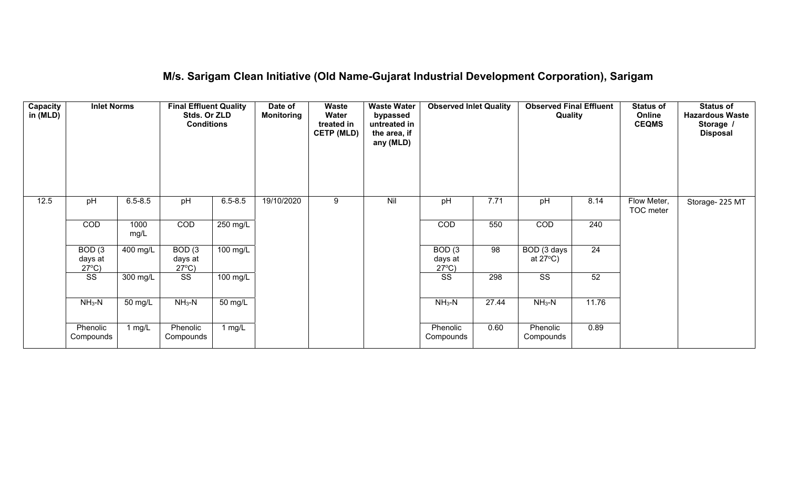### **M/s. Sarigam Clean Initiative (Old Name-Gujarat Industrial Development Corporation), Sarigam**

| Capacity<br>in (MLD) | <b>Inlet Norms</b>                              |              | <b>Final Effluent Quality</b><br>Stds. Or ZLD<br><b>Conditions</b> |                      | Date of<br><b>Monitoring</b> | Waste<br>Water<br>treated in<br><b>CETP (MLD)</b> | <b>Waste Water</b><br>bypassed<br>untreated in<br>the area, if<br>any (MLD) | <b>Observed Inlet Quality</b>                   |       | <b>Observed Final Effluent</b><br>Quality |                 | <b>Status of</b><br>Online<br><b>CEQMS</b> | <b>Status of</b><br><b>Hazardous Waste</b><br>Storage /<br><b>Disposal</b> |
|----------------------|-------------------------------------------------|--------------|--------------------------------------------------------------------|----------------------|------------------------------|---------------------------------------------------|-----------------------------------------------------------------------------|-------------------------------------------------|-------|-------------------------------------------|-----------------|--------------------------------------------|----------------------------------------------------------------------------|
| 12.5                 | pH                                              | $6.5 - 8.5$  | pH                                                                 | $6.5 - 8.5$          | 19/10/2020                   | 9                                                 | Nil                                                                         | pH                                              | 7.71  | pH                                        | 8.14            | Flow Meter,<br>TOC meter                   | Storage- 225 MT                                                            |
|                      | COD                                             | 1000<br>mg/L | COD                                                                | 250 mg/L             |                              |                                                   |                                                                             | COD                                             | 550   | COD                                       | 240             |                                            |                                                                            |
|                      | BOD <sub>(3</sub><br>days at<br>$27^{\circ}$ C) | 400 mg/L     | BOD <sub>(3</sub><br>days at<br>$27^{\circ}C$ )                    | $100 \text{ mg/L}$   |                              |                                                   |                                                                             | BOD <sub>(3</sub><br>days at<br>$27^{\circ}C$ ) | 98    | BOD (3 days<br>at $27^{\circ}$ C)         | $\overline{24}$ |                                            |                                                                            |
|                      | $\overline{\text{ss}}$                          | 300 mg/L     | $\overline{\text{SS}}$                                             | $100 \text{ mg/L}$   |                              |                                                   |                                                                             | $\overline{\text{ss}}$                          | 298   | $\overline{\text{SS}}$                    | 52              |                                            |                                                                            |
|                      | $NH3-N$                                         | 50 mg/L      | $NH3-N$                                                            | $\overline{50}$ mg/L |                              |                                                   |                                                                             | $NH3-N$                                         | 27.44 | $NH3-N$                                   | 11.76           |                                            |                                                                            |
|                      | Phenolic<br>Compounds                           | 1 $mg/L$     | Phenolic<br>Compounds                                              | 1 mg/L               |                              |                                                   |                                                                             | Phenolic<br>Compounds                           | 0.60  | Phenolic<br>Compounds                     | 0.89            |                                            |                                                                            |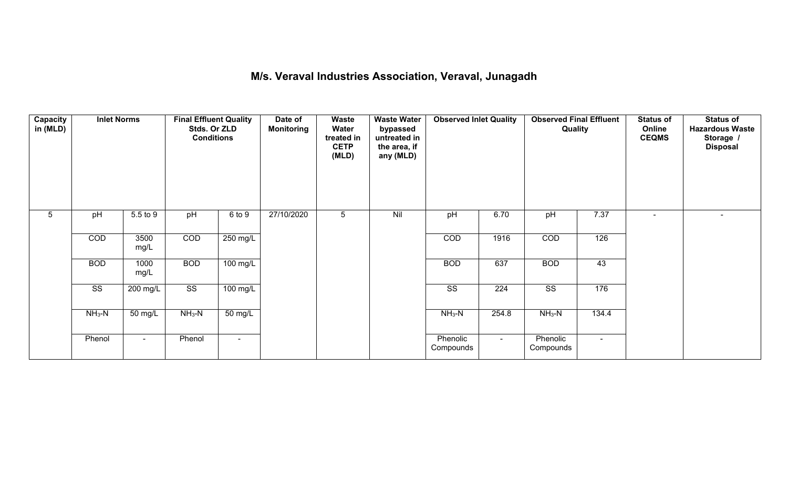### **M/s. Veraval Industries Association, Veraval, Junagadh**

| Capacity<br>in (MLD) | <b>Inlet Norms</b>     |                    | <b>Final Effluent Quality</b><br>Stds. Or ZLD<br><b>Conditions</b> |                    | Date of<br><b>Monitoring</b> | Waste<br>Water<br>treated in<br><b>CETP</b><br>(MLD) | <b>Waste Water</b><br>bypassed<br>untreated in<br>the area, if<br>any (MLD) | <b>Observed Inlet Quality</b> |        | <b>Observed Final Effluent</b><br>Quality |        | <b>Status of</b><br>Online<br><b>CEQMS</b> | Status of<br><b>Hazardous Waste</b><br>Storage /<br><b>Disposal</b> |
|----------------------|------------------------|--------------------|--------------------------------------------------------------------|--------------------|------------------------------|------------------------------------------------------|-----------------------------------------------------------------------------|-------------------------------|--------|-------------------------------------------|--------|--------------------------------------------|---------------------------------------------------------------------|
| $5\phantom{.0}$      | pH                     | 5.5 to 9           | pH                                                                 | 6 to 9             | 27/10/2020                   | $5\phantom{.0}$                                      | Nil                                                                         | pH                            | 6.70   | pH                                        | 7.37   |                                            | $\overline{\phantom{a}}$                                            |
|                      | COD                    | 3500<br>mg/L       | COD                                                                | 250 mg/L           |                              |                                                      |                                                                             | COD                           | 1916   | COD                                       | 126    |                                            |                                                                     |
|                      | <b>BOD</b>             | 1000<br>mg/L       | <b>BOD</b>                                                         | 100 mg/L           |                              |                                                      |                                                                             | <b>BOD</b>                    | 637    | <b>BOD</b>                                | 43     |                                            |                                                                     |
|                      | $\overline{\text{SS}}$ | $200 \text{ mg/L}$ | $\overline{\text{ss}}$                                             | $100 \text{ mg/L}$ |                              |                                                      |                                                                             | $\overline{\text{ss}}$        | 224    | $\overline{\text{SS}}$                    | 176    |                                            |                                                                     |
|                      | $NH_3-N$               | $50 \text{ mg/L}$  | $NH3-N$                                                            | 50 mg/L            |                              |                                                      |                                                                             | $NH3-N$                       | 254.8  | $NH3-N$                                   | 134.4  |                                            |                                                                     |
|                      | Phenol                 | $\sim$             | Phenol                                                             | $\blacksquare$     |                              |                                                      |                                                                             | Phenolic<br>Compounds         | $\sim$ | Phenolic<br>Compounds                     | $\sim$ |                                            |                                                                     |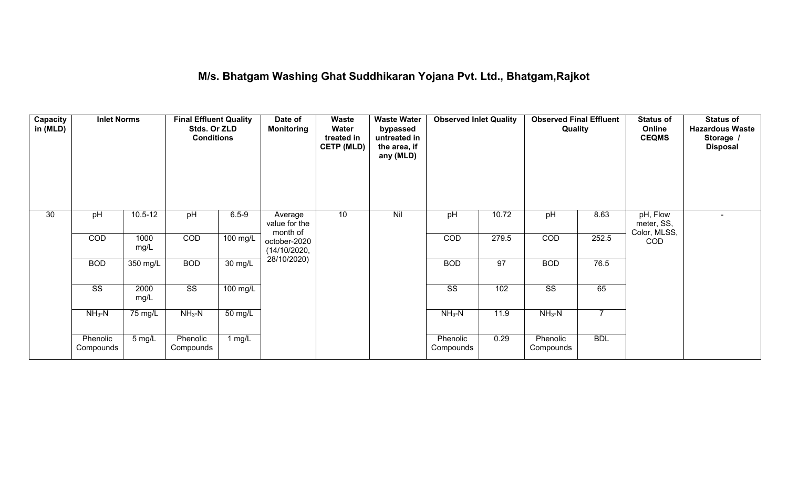### **M/s. Bhatgam Washing Ghat Suddhikaran Yojana Pvt. Ltd., Bhatgam,Rajkot**

| Capacity<br>in (MLD) | <b>Inlet Norms</b>     |              | <b>Final Effluent Quality</b><br>Stds. Or ZLD<br><b>Conditions</b> |                      | Date of<br><b>Monitoring</b>         | Waste<br>Water<br>treated in<br><b>CETP (MLD)</b> | <b>Waste Water</b><br>bypassed<br>untreated in<br>the area, if<br>any (MLD) | <b>Observed Inlet Quality</b> |       | <b>Observed Final Effluent</b><br>Quality |                | <b>Status of</b><br>Online<br><b>CEQMS</b> | <b>Status of</b><br><b>Hazardous Waste</b><br>Storage /<br><b>Disposal</b> |
|----------------------|------------------------|--------------|--------------------------------------------------------------------|----------------------|--------------------------------------|---------------------------------------------------|-----------------------------------------------------------------------------|-------------------------------|-------|-------------------------------------------|----------------|--------------------------------------------|----------------------------------------------------------------------------|
| 30                   | pH                     | $10.5 - 12$  | pH                                                                 | $6.5 - 9$            | Average<br>value for the<br>month of | 10 <sup>°</sup>                                   | Nil                                                                         | pH                            | 10.72 | pH                                        | 8.63           | pH, Flow<br>meter, SS,<br>Color, MLSS,     |                                                                            |
|                      | COD                    | 1000<br>mg/L | COD                                                                | $100$ mg/L           | october-2020<br>(14/10/2020,         |                                                   |                                                                             | COD                           | 279.5 | COD                                       | 252.5          | COD                                        |                                                                            |
|                      | <b>BOD</b>             | 350 mg/L     | <b>BOD</b>                                                         | $\overline{30}$ mg/L | 28/10/2020)                          |                                                   |                                                                             | <b>BOD</b>                    | 97    | <b>BOD</b>                                | 76.5           |                                            |                                                                            |
|                      | $\overline{\text{ss}}$ | 2000<br>mg/L | $\overline{\text{ss}}$                                             | $100$ mg/L           |                                      |                                                   |                                                                             | $\overline{\text{ss}}$        | 102   | $\overline{\text{ss}}$                    | 65             |                                            |                                                                            |
|                      | $NH3-N$                | 75 mg/L      | $NH3-N$                                                            | 50 mg/L              |                                      |                                                   |                                                                             | $NH3-N$                       | 11.9  | $NH3-N$                                   | $\overline{7}$ |                                            |                                                                            |
|                      | Phenolic<br>Compounds  | 5 mg/L       | Phenolic<br>Compounds                                              | 1 mg/L               |                                      |                                                   |                                                                             | Phenolic<br>Compounds         | 0.29  | Phenolic<br>Compounds                     | <b>BDL</b>     |                                            |                                                                            |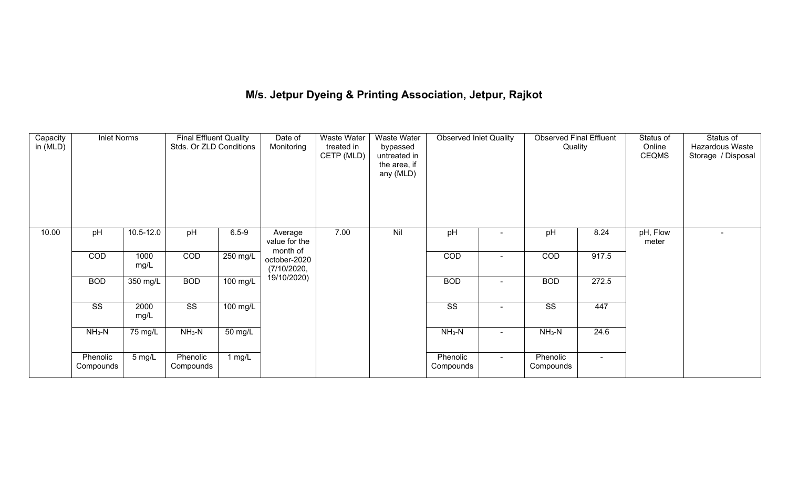# **M/s. Jetpur Dyeing & Printing Association, Jetpur, Rajkot**

| Capacity<br>in (MLD) | <b>Inlet Norms</b>    |              | <b>Final Effluent Quality</b><br>Stds. Or ZLD Conditions |                    | Date of<br>Monitoring                   | Waste Water<br>treated in<br>CETP (MLD) | <b>Waste Water</b><br>bypassed<br>untreated in<br>the area, if<br>any (MLD) | <b>Observed Inlet Quality</b> |                | <b>Observed Final Effluent</b><br>Quality |        | Status of<br>Online<br><b>CEQMS</b> | Status of<br>Hazardous Waste<br>Storage / Disposal |
|----------------------|-----------------------|--------------|----------------------------------------------------------|--------------------|-----------------------------------------|-----------------------------------------|-----------------------------------------------------------------------------|-------------------------------|----------------|-------------------------------------------|--------|-------------------------------------|----------------------------------------------------|
| 10.00                | pH                    | 10.5-12.0    | pH                                                       | $6.5 - 9$          | Average<br>value for the                | 7.00                                    | Nil                                                                         | pH                            |                | pH                                        | 8.24   | pH, Flow<br>meter                   |                                                    |
|                      | COD                   | 1000<br>mg/L | COD                                                      | 250 mg/L           | month of<br>october-2020<br>(7/10/2020, |                                         |                                                                             | COD                           | $\blacksquare$ | COD                                       | 917.5  |                                     |                                                    |
|                      | <b>BOD</b>            | 350 mg/L     | <b>BOD</b>                                               | $100 \text{ mg/L}$ | 19/10/2020)                             |                                         |                                                                             | <b>BOD</b>                    | $\blacksquare$ | <b>BOD</b>                                | 272.5  |                                     |                                                    |
|                      | SS                    | 2000<br>mg/L | $\overline{\text{ss}}$                                   | 100 mg/L           |                                         |                                         |                                                                             | SS                            | $\blacksquare$ | SS                                        | 447    |                                     |                                                    |
|                      | $NH3-N$               | 75 mg/L      | $NH3-N$                                                  | 50 mg/L            |                                         |                                         |                                                                             | $NH3-N$                       | $\blacksquare$ | $NH3-N$                                   | 24.6   |                                     |                                                    |
|                      | Phenolic<br>Compounds | 5 mg/L       | Phenolic<br>Compounds                                    | 1 $mg/L$           |                                         |                                         |                                                                             | Phenolic<br>Compounds         | $\sim$         | Phenolic<br>Compounds                     | $\sim$ |                                     |                                                    |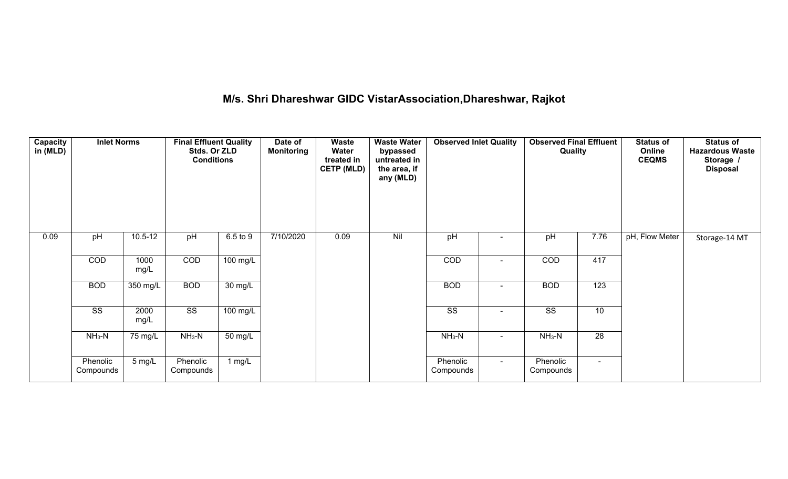## **M/s. Shri Dhareshwar GIDC VistarAssociation,Dhareshwar, Rajkot**

| <b>Capacity</b><br>in (MLD) | <b>Inlet Norms</b>     |              | <b>Final Effluent Quality</b><br>Stds. Or ZLD<br><b>Conditions</b> |                      | Date of<br><b>Monitoring</b> | Waste<br>Water<br>treated in<br><b>CETP (MLD)</b> | <b>Waste Water</b><br>bypassed<br>untreated in<br>the area, if<br>any (MLD) | <b>Observed Inlet Quality</b> |                | <b>Observed Final Effluent</b><br>Quality |        | <b>Status of</b><br>Online<br><b>CEQMS</b> | <b>Status of</b><br><b>Hazardous Waste</b><br>Storage /<br><b>Disposal</b> |
|-----------------------------|------------------------|--------------|--------------------------------------------------------------------|----------------------|------------------------------|---------------------------------------------------|-----------------------------------------------------------------------------|-------------------------------|----------------|-------------------------------------------|--------|--------------------------------------------|----------------------------------------------------------------------------|
| 0.09                        | pH                     | $10.5 - 12$  | pH                                                                 | 6.5 to 9             | 7/10/2020                    | 0.09                                              | Nil                                                                         | pH                            |                | pH                                        | 7.76   | pH, Flow Meter                             | Storage-14 MT                                                              |
|                             | COD                    | 1000<br>mg/L | COD                                                                | 100 mg/L             |                              |                                                   |                                                                             | COD                           |                | COD                                       | 417    |                                            |                                                                            |
|                             | <b>BOD</b>             | 350 mg/L     | <b>BOD</b>                                                         | $\overline{30}$ mg/L |                              |                                                   |                                                                             | <b>BOD</b>                    | $\blacksquare$ | <b>BOD</b>                                | 123    |                                            |                                                                            |
|                             | $\overline{\text{ss}}$ | 2000<br>mg/L | $\overline{\text{ss}}$                                             | $100$ mg/L           |                              |                                                   |                                                                             | $\overline{\text{ss}}$        | $\blacksquare$ | $\overline{\text{ss}}$                    | 10     |                                            |                                                                            |
|                             | $NH3-N$                | 75 mg/L      | $NH3-N$                                                            | 50 mg/L              |                              |                                                   |                                                                             | $NH3-N$                       | $\sim$         | $NH3-N$                                   | 28     |                                            |                                                                            |
|                             | Phenolic<br>Compounds  | 5 mg/L       | Phenolic<br>Compounds                                              | 1 $mg/L$             |                              |                                                   |                                                                             | Phenolic<br>Compounds         | $\sim$         | Phenolic<br>Compounds                     | $\sim$ |                                            |                                                                            |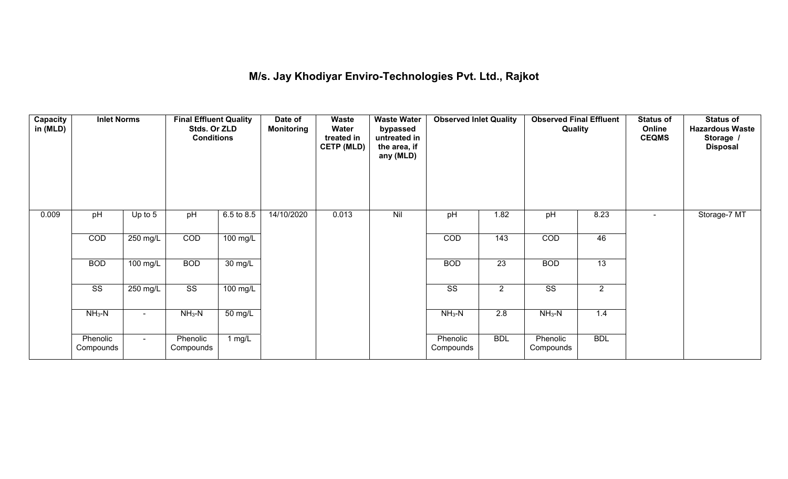## **M/s. Jay Khodiyar Enviro-Technologies Pvt. Ltd., Rajkot**

| Capacity<br>in (MLD) | <b>Inlet Norms</b>     |                    | <b>Final Effluent Quality</b><br>Stds. Or ZLD<br><b>Conditions</b> |            | Date of<br><b>Monitoring</b> | Waste<br>Water<br>treated in<br><b>CETP (MLD)</b> | <b>Waste Water</b><br>bypassed<br>untreated in<br>the area, if<br>any (MLD) | <b>Observed Inlet Quality</b> |                  | <b>Observed Final Effluent</b><br>Quality |                | <b>Status of</b><br>Online<br><b>CEQMS</b> | <b>Status of</b><br><b>Hazardous Waste</b><br>Storage /<br><b>Disposal</b> |
|----------------------|------------------------|--------------------|--------------------------------------------------------------------|------------|------------------------------|---------------------------------------------------|-----------------------------------------------------------------------------|-------------------------------|------------------|-------------------------------------------|----------------|--------------------------------------------|----------------------------------------------------------------------------|
| 0.009                | pH                     | Up to $5$          | pH                                                                 | 6.5 to 8.5 | 14/10/2020                   | 0.013                                             | Nil                                                                         | pH                            | 1.82             | pH                                        | 8.23           | $\sim$                                     | Storage-7 MT                                                               |
|                      | COD                    | $250 \text{ mg/L}$ | COD                                                                | 100 mg/L   |                              |                                                   |                                                                             | COD                           | 143              | COD                                       | 46             |                                            |                                                                            |
|                      | <b>BOD</b>             | $100 \text{ mg/L}$ | <b>BOD</b>                                                         | 30 mg/L    |                              |                                                   |                                                                             | <b>BOD</b>                    | $\overline{23}$  | <b>BOD</b>                                | 13             |                                            |                                                                            |
|                      | $\overline{\text{ss}}$ | $250 \text{ mg/L}$ | $\overline{\text{ss}}$                                             | $100$ mg/L |                              |                                                   |                                                                             | $\overline{\text{ss}}$        | $\overline{2}$   | $\overline{\text{ss}}$                    | $\overline{2}$ |                                            |                                                                            |
|                      | $NH3-N$                |                    | $NH3-N$                                                            | 50 mg/L    |                              |                                                   |                                                                             | $NH3-N$                       | $\overline{2.8}$ | $NH3-N$                                   | 1.4            |                                            |                                                                            |
|                      | Phenolic<br>Compounds  | $\sim$             | Phenolic<br>Compounds                                              | 1 $mg/L$   |                              |                                                   |                                                                             | Phenolic<br>Compounds         | <b>BDL</b>       | Phenolic<br>Compounds                     | <b>BDL</b>     |                                            |                                                                            |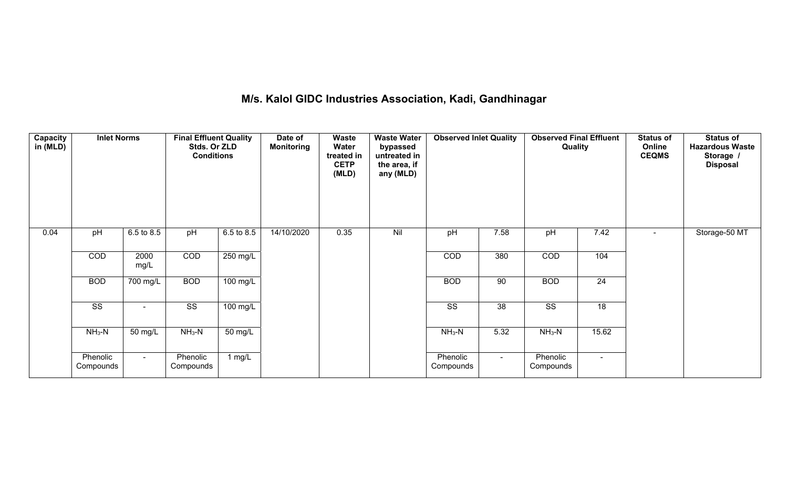### **M/s. Kalol GIDC Industries Association, Kadi, Gandhinagar**

| Capacity<br>in (MLD) | <b>Inlet Norms</b>    | <b>Final Effluent Quality</b><br>Stds. Or ZLD<br><b>Conditions</b> |                        |                    | Date of<br><b>Monitoring</b> | Waste<br>Water<br>treated in<br><b>CETP</b><br>(MLD) | <b>Waste Water</b><br>bypassed<br>untreated in<br>the area, if<br>any (MLD) | <b>Observed Inlet Quality</b> |        | <b>Observed Final Effluent</b><br>Quality |                 | <b>Status of</b><br>Online<br><b>CEQMS</b> | <b>Status of</b><br><b>Hazardous Waste</b><br>Storage /<br><b>Disposal</b> |
|----------------------|-----------------------|--------------------------------------------------------------------|------------------------|--------------------|------------------------------|------------------------------------------------------|-----------------------------------------------------------------------------|-------------------------------|--------|-------------------------------------------|-----------------|--------------------------------------------|----------------------------------------------------------------------------|
| 0.04                 | pH                    | 6.5 to 8.5                                                         | pH                     | 6.5 to 8.5         | 14/10/2020                   | 0.35                                                 | Nil                                                                         | pH                            | 7.58   | pH                                        | 7.42            |                                            | Storage-50 MT                                                              |
|                      | COD                   | 2000<br>mg/L                                                       | COD                    | 250 mg/L           |                              |                                                      |                                                                             | COD                           | 380    | COD                                       | 104             |                                            |                                                                            |
|                      | <b>BOD</b>            | 700 mg/L                                                           | <b>BOD</b>             | 100 mg/L           |                              |                                                      |                                                                             | <b>BOD</b>                    | 90     | <b>BOD</b>                                | $\overline{24}$ |                                            |                                                                            |
|                      | SS                    | $\sim$                                                             | $\overline{\text{ss}}$ | $100 \text{ mg/L}$ |                              |                                                      |                                                                             | $\overline{\text{SS}}$        | 38     | $\overline{\text{ss}}$                    | 18              |                                            |                                                                            |
|                      | $NH_3-N$              | 50 mg/L                                                            | $NH3-N$                | 50 mg/L            |                              |                                                      |                                                                             | $NH3-N$                       | 5.32   | $NH_3-N$                                  | 15.62           |                                            |                                                                            |
|                      | Phenolic<br>Compounds | $\sim$ 10 $\pm$                                                    | Phenolic<br>Compounds  | 1 $mg/L$           |                              |                                                      |                                                                             | Phenolic<br>Compounds         | $\sim$ | Phenolic<br>Compounds                     | $\sim$          |                                            |                                                                            |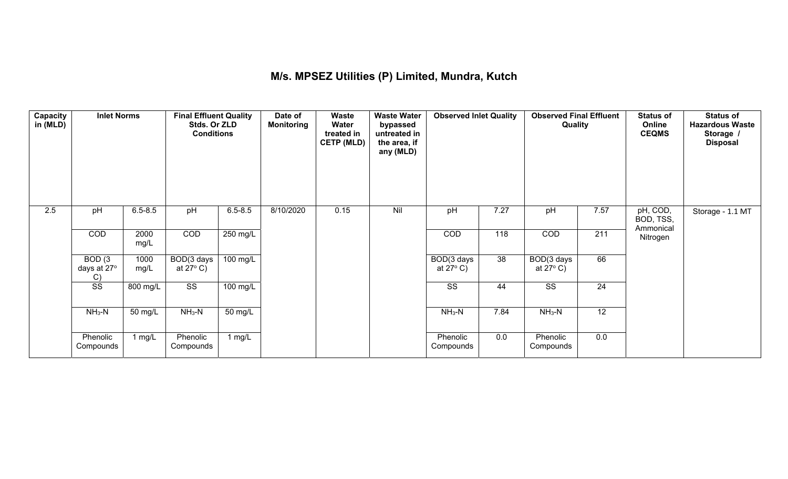### **M/s. MPSEZ Utilities (P) Limited, Mundra, Kutch**

| Capacity<br>in (MLD) | <b>Inlet Norms</b>          |              | <b>Final Effluent Quality</b><br>Stds. Or ZLD<br><b>Conditions</b> |                    | Date of<br><b>Monitoring</b> | Waste<br>Water<br>treated in<br><b>CETP (MLD)</b> | <b>Waste Water</b><br>bypassed<br>untreated in<br>the area, if<br>any (MLD) | <b>Observed Inlet Quality</b>    |                 | <b>Observed Final Effluent</b><br>Quality |                 | <b>Status of</b><br>Online<br><b>CEQMS</b> | <b>Status of</b><br><b>Hazardous Waste</b><br>Storage<br><b>Disposal</b> |
|----------------------|-----------------------------|--------------|--------------------------------------------------------------------|--------------------|------------------------------|---------------------------------------------------|-----------------------------------------------------------------------------|----------------------------------|-----------------|-------------------------------------------|-----------------|--------------------------------------------|--------------------------------------------------------------------------|
| 2.5                  | pH                          | $6.5 - 8.5$  | pH                                                                 | $6.5 - 8.5$        | 8/10/2020                    | 0.15                                              | Nil                                                                         | pH                               | 7.27            | pH                                        | 7.57            | pH, COD,<br>BOD, TSS,<br>Ammonical         | Storage - 1.1 MT                                                         |
|                      | COD                         | 2000<br>mg/L | COD                                                                | $250$ mg/L         |                              |                                                   |                                                                             | COD                              | 118             | COD                                       | 211             | Nitrogen                                   |                                                                          |
|                      | BOD(3)<br>days at 27°<br>C) | 1000<br>mg/L | BOD(3 days<br>at $27^{\circ}$ C)                                   | $100 \text{ mg/L}$ |                              |                                                   |                                                                             | BOD(3 days<br>at $27^{\circ}$ C) | $\overline{38}$ | BOD(3 days<br>at $27^{\circ}$ C)          | 66              |                                            |                                                                          |
|                      | $\overline{\text{ss}}$      | 800 mg/L     | $\overline{\text{ss}}$                                             | $100$ mg/L         |                              |                                                   |                                                                             | $\overline{\text{ss}}$           | 44              | $\overline{\text{SS}}$                    | 24              |                                            |                                                                          |
|                      | $NH3-N$                     | 50 mg/L      | $NH3-N$                                                            | $50 \text{ mg/L}$  |                              |                                                   |                                                                             | $NH3-N$                          | 7.84            | $NH3-N$                                   | $\overline{12}$ |                                            |                                                                          |
|                      | Phenolic<br>Compounds       | $1$ mg/L     | Phenolic<br>Compounds                                              | 1 mg/L             |                              |                                                   |                                                                             | Phenolic<br>Compounds            | 0.0             | Phenolic<br>Compounds                     | 0.0             |                                            |                                                                          |